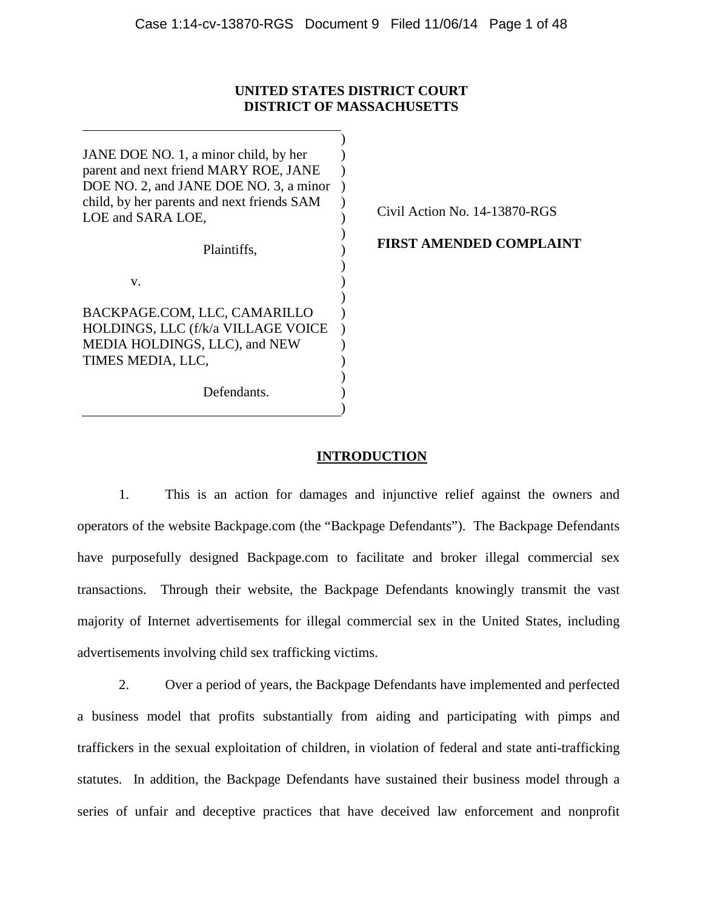### **UNITED STATES DISTRICT COURT DISTRICT OF MASSACHUSETTS**

| JANE DOE NO. 1, a minor child, by her<br>parent and next friend MARY ROE, JANE<br>DOE NO. 2, and JANE DOE NO. 3, a minor<br>child, by her parents and next friends SAM<br>LOE and SARA LOE, | Civil Action No. 14-13870-RGS  |
|---------------------------------------------------------------------------------------------------------------------------------------------------------------------------------------------|--------------------------------|
| Plaintiffs,                                                                                                                                                                                 | <b>FIRST AMENDED COMPLAINT</b> |
| V.                                                                                                                                                                                          |                                |
| BACKPAGE.COM, LLC, CAMARILLO<br>HOLDINGS, LLC (f/k/a VILLAGE VOICE                                                                                                                          |                                |
| MEDIA HOLDINGS, LLC), and NEW<br>TIMES MEDIA, LLC,                                                                                                                                          |                                |
| Defendants.                                                                                                                                                                                 |                                |

# **INTRODUCTION**

1. This is an action for damages and injunctive relief against the owners and operators of the website Backpage.com (the "Backpage Defendants"). The Backpage Defendants have purposefully designed Backpage.com to facilitate and broker illegal commercial sex transactions. Through their website, the Backpage Defendants knowingly transmit the vast majority of Internet advertisements for illegal commercial sex in the United States, including advertisements involving child sex trafficking victims.

2. Over a period of years, the Backpage Defendants have implemented and perfected a business model that profits substantially from aiding and participating with pimps and traffickers in the sexual exploitation of children, in violation of federal and state anti-trafficking statutes. In addition, the Backpage Defendants have sustained their business model through a series of unfair and deceptive practices that have deceived law enforcement and nonprofit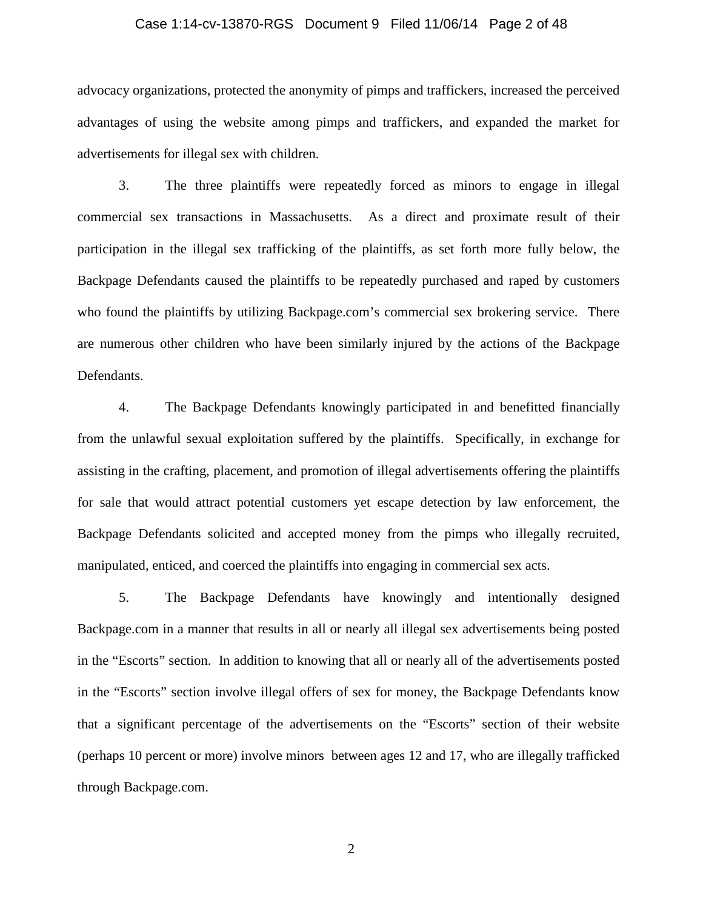### Case 1:14-cv-13870-RGS Document 9 Filed 11/06/14 Page 2 of 48

advocacy organizations, protected the anonymity of pimps and traffickers, increased the perceived advantages of using the website among pimps and traffickers, and expanded the market for advertisements for illegal sex with children.

3. The three plaintiffs were repeatedly forced as minors to engage in illegal commercial sex transactions in Massachusetts. As a direct and proximate result of their participation in the illegal sex trafficking of the plaintiffs, as set forth more fully below, the Backpage Defendants caused the plaintiffs to be repeatedly purchased and raped by customers who found the plaintiffs by utilizing Backpage.com's commercial sex brokering service. There are numerous other children who have been similarly injured by the actions of the Backpage Defendants.

4. The Backpage Defendants knowingly participated in and benefitted financially from the unlawful sexual exploitation suffered by the plaintiffs. Specifically, in exchange for assisting in the crafting, placement, and promotion of illegal advertisements offering the plaintiffs for sale that would attract potential customers yet escape detection by law enforcement, the Backpage Defendants solicited and accepted money from the pimps who illegally recruited, manipulated, enticed, and coerced the plaintiffs into engaging in commercial sex acts.

5. The Backpage Defendants have knowingly and intentionally designed Backpage.com in a manner that results in all or nearly all illegal sex advertisements being posted in the "Escorts" section. In addition to knowing that all or nearly all of the advertisements posted in the "Escorts" section involve illegal offers of sex for money, the Backpage Defendants know that a significant percentage of the advertisements on the "Escorts" section of their website (perhaps 10 percent or more) involve minors between ages 12 and 17, who are illegally trafficked through Backpage.com.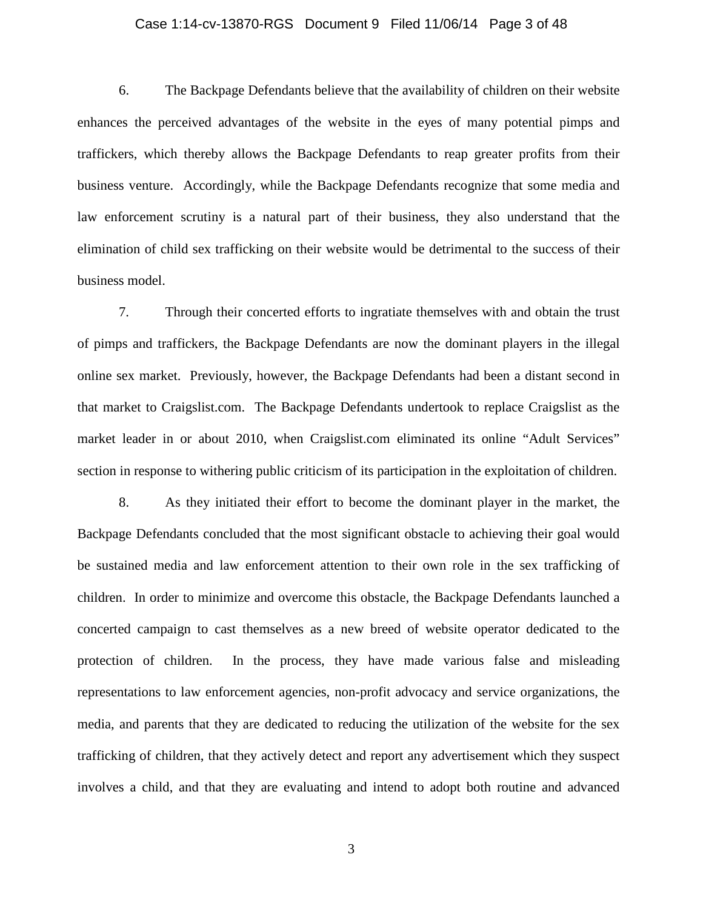### Case 1:14-cv-13870-RGS Document 9 Filed 11/06/14 Page 3 of 48

6. The Backpage Defendants believe that the availability of children on their website enhances the perceived advantages of the website in the eyes of many potential pimps and traffickers, which thereby allows the Backpage Defendants to reap greater profits from their business venture. Accordingly, while the Backpage Defendants recognize that some media and law enforcement scrutiny is a natural part of their business, they also understand that the elimination of child sex trafficking on their website would be detrimental to the success of their business model.

7. Through their concerted efforts to ingratiate themselves with and obtain the trust of pimps and traffickers, the Backpage Defendants are now the dominant players in the illegal online sex market. Previously, however, the Backpage Defendants had been a distant second in that market to Craigslist.com. The Backpage Defendants undertook to replace Craigslist as the market leader in or about 2010, when Craigslist.com eliminated its online "Adult Services" section in response to withering public criticism of its participation in the exploitation of children.

8. As they initiated their effort to become the dominant player in the market, the Backpage Defendants concluded that the most significant obstacle to achieving their goal would be sustained media and law enforcement attention to their own role in the sex trafficking of children. In order to minimize and overcome this obstacle, the Backpage Defendants launched a concerted campaign to cast themselves as a new breed of website operator dedicated to the protection of children. In the process, they have made various false and misleading representations to law enforcement agencies, non-profit advocacy and service organizations, the media, and parents that they are dedicated to reducing the utilization of the website for the sex trafficking of children, that they actively detect and report any advertisement which they suspect involves a child, and that they are evaluating and intend to adopt both routine and advanced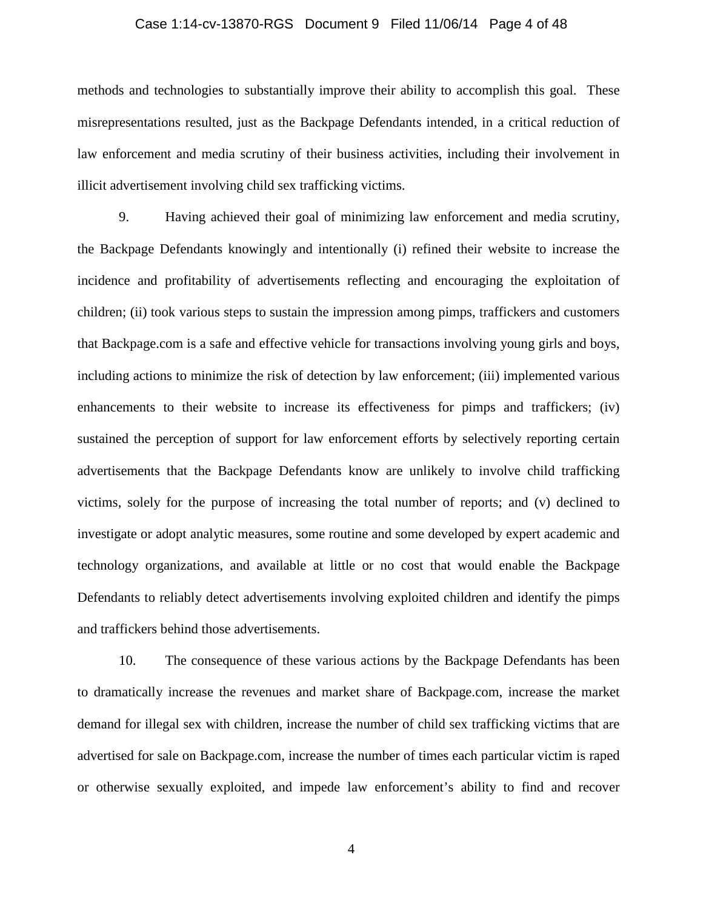### Case 1:14-cv-13870-RGS Document 9 Filed 11/06/14 Page 4 of 48

methods and technologies to substantially improve their ability to accomplish this goal. These misrepresentations resulted, just as the Backpage Defendants intended, in a critical reduction of law enforcement and media scrutiny of their business activities, including their involvement in illicit advertisement involving child sex trafficking victims.

9. Having achieved their goal of minimizing law enforcement and media scrutiny, the Backpage Defendants knowingly and intentionally (i) refined their website to increase the incidence and profitability of advertisements reflecting and encouraging the exploitation of children; (ii) took various steps to sustain the impression among pimps, traffickers and customers that Backpage.com is a safe and effective vehicle for transactions involving young girls and boys, including actions to minimize the risk of detection by law enforcement; (iii) implemented various enhancements to their website to increase its effectiveness for pimps and traffickers; (iv) sustained the perception of support for law enforcement efforts by selectively reporting certain advertisements that the Backpage Defendants know are unlikely to involve child trafficking victims, solely for the purpose of increasing the total number of reports; and (v) declined to investigate or adopt analytic measures, some routine and some developed by expert academic and technology organizations, and available at little or no cost that would enable the Backpage Defendants to reliably detect advertisements involving exploited children and identify the pimps and traffickers behind those advertisements.

10. The consequence of these various actions by the Backpage Defendants has been to dramatically increase the revenues and market share of Backpage.com, increase the market demand for illegal sex with children, increase the number of child sex trafficking victims that are advertised for sale on Backpage.com, increase the number of times each particular victim is raped or otherwise sexually exploited, and impede law enforcement's ability to find and recover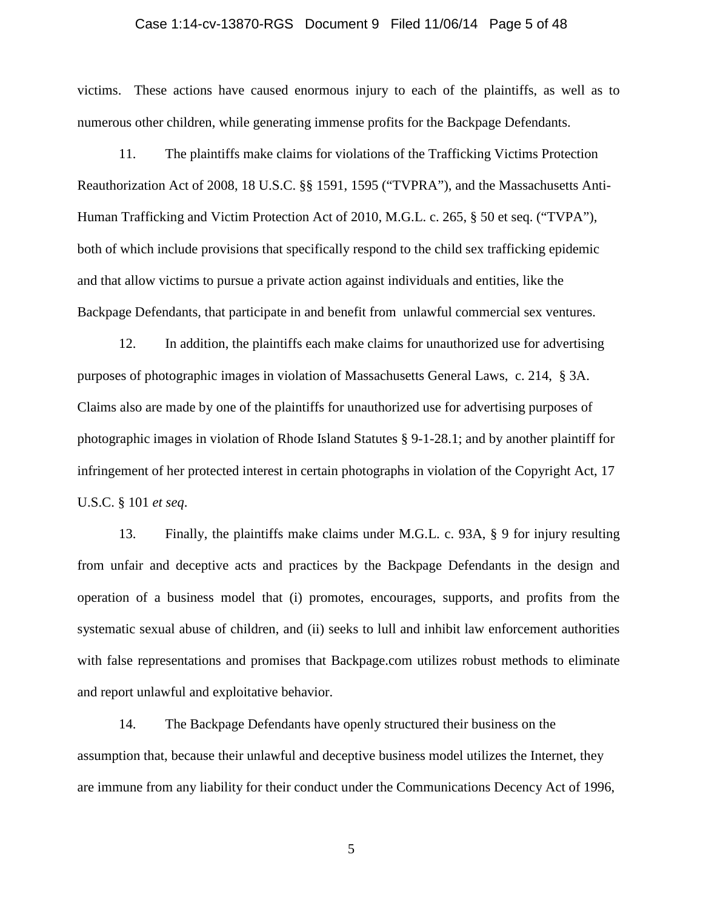### Case 1:14-cv-13870-RGS Document 9 Filed 11/06/14 Page 5 of 48

victims. These actions have caused enormous injury to each of the plaintiffs, as well as to numerous other children, while generating immense profits for the Backpage Defendants.

11. The plaintiffs make claims for violations of the Trafficking Victims Protection Reauthorization Act of 2008, 18 U.S.C. §§ 1591, 1595 ("TVPRA"), and the Massachusetts Anti-Human Trafficking and Victim Protection Act of 2010, M.G.L. c. 265, § 50 et seq. ("TVPA"), both of which include provisions that specifically respond to the child sex trafficking epidemic and that allow victims to pursue a private action against individuals and entities, like the Backpage Defendants, that participate in and benefit from unlawful commercial sex ventures.

12. In addition, the plaintiffs each make claims for unauthorized use for advertising purposes of photographic images in violation of Massachusetts General Laws, c. 214, § 3A. Claims also are made by one of the plaintiffs for unauthorized use for advertising purposes of photographic images in violation of Rhode Island Statutes § 9-1-28.1; and by another plaintiff for infringement of her protected interest in certain photographs in violation of the Copyright Act, 17 U.S.C. § 101 *et seq*.

13. Finally, the plaintiffs make claims under M.G.L. c. 93A, § 9 for injury resulting from unfair and deceptive acts and practices by the Backpage Defendants in the design and operation of a business model that (i) promotes, encourages, supports, and profits from the systematic sexual abuse of children, and (ii) seeks to lull and inhibit law enforcement authorities with false representations and promises that Backpage.com utilizes robust methods to eliminate and report unlawful and exploitative behavior.

14. The Backpage Defendants have openly structured their business on the assumption that, because their unlawful and deceptive business model utilizes the Internet, they are immune from any liability for their conduct under the Communications Decency Act of 1996,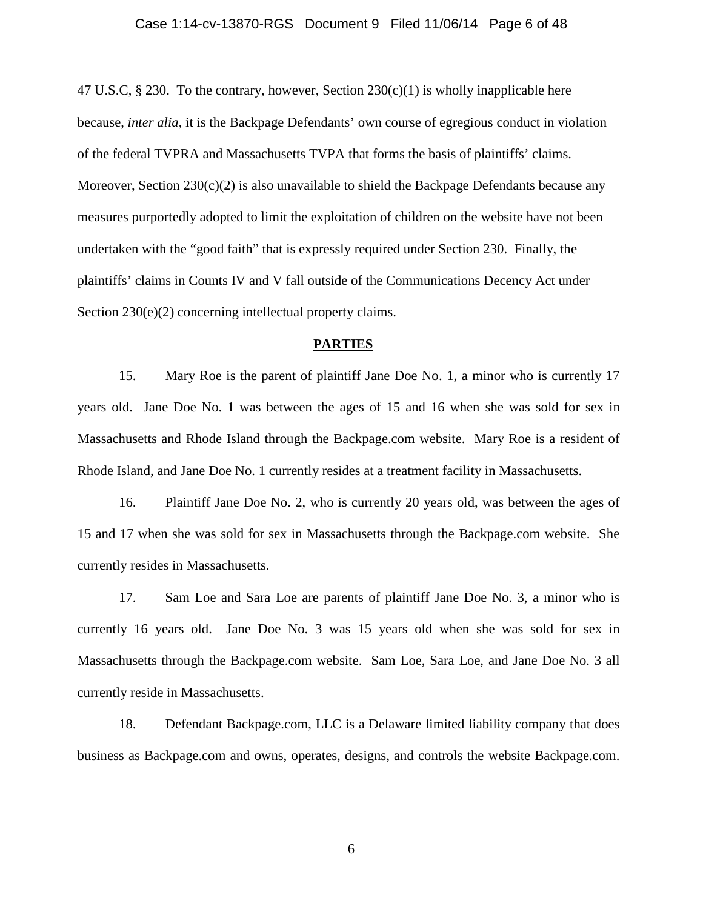#### Case 1:14-cv-13870-RGS Document 9 Filed 11/06/14 Page 6 of 48

47 U.S.C, § 230. To the contrary, however, Section  $230(c)(1)$  is wholly inapplicable here because, *inter alia*, it is the Backpage Defendants' own course of egregious conduct in violation of the federal TVPRA and Massachusetts TVPA that forms the basis of plaintiffs' claims. Moreover, Section  $230(c)(2)$  is also unavailable to shield the Backpage Defendants because any measures purportedly adopted to limit the exploitation of children on the website have not been undertaken with the "good faith" that is expressly required under Section 230. Finally, the plaintiffs' claims in Counts IV and V fall outside of the Communications Decency Act under Section 230(e)(2) concerning intellectual property claims.

### **PARTIES**

15. Mary Roe is the parent of plaintiff Jane Doe No. 1, a minor who is currently 17 years old. Jane Doe No. 1 was between the ages of 15 and 16 when she was sold for sex in Massachusetts and Rhode Island through the Backpage.com website. Mary Roe is a resident of Rhode Island, and Jane Doe No. 1 currently resides at a treatment facility in Massachusetts.

16. Plaintiff Jane Doe No. 2, who is currently 20 years old, was between the ages of 15 and 17 when she was sold for sex in Massachusetts through the Backpage.com website. She currently resides in Massachusetts.

17. Sam Loe and Sara Loe are parents of plaintiff Jane Doe No. 3, a minor who is currently 16 years old. Jane Doe No. 3 was 15 years old when she was sold for sex in Massachusetts through the Backpage.com website. Sam Loe, Sara Loe, and Jane Doe No. 3 all currently reside in Massachusetts.

18. Defendant Backpage.com, LLC is a Delaware limited liability company that does business as Backpage.com and owns, operates, designs, and controls the website Backpage.com.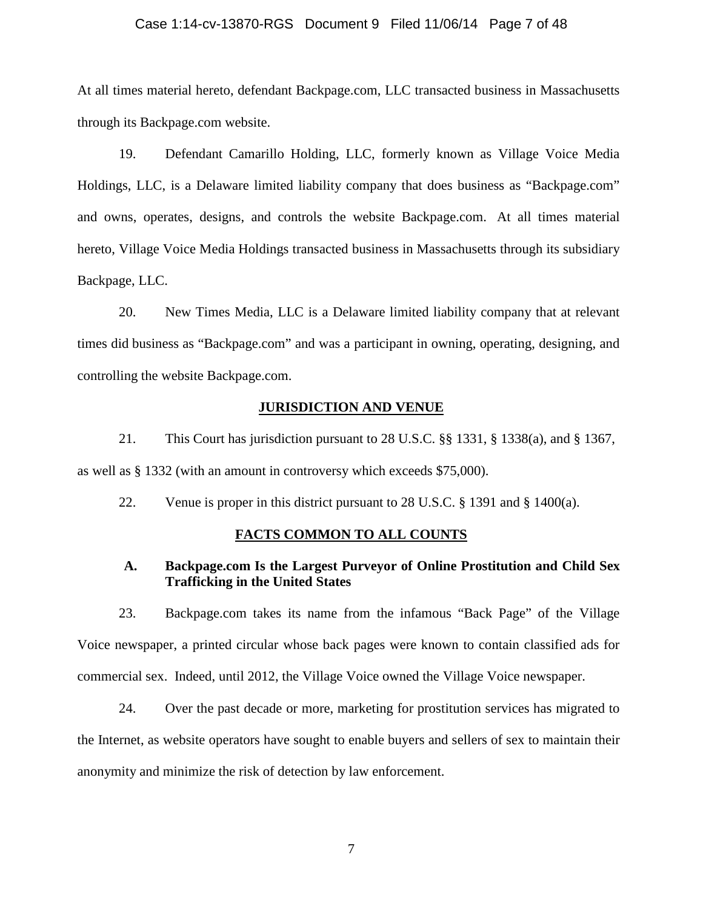### Case 1:14-cv-13870-RGS Document 9 Filed 11/06/14 Page 7 of 48

At all times material hereto, defendant Backpage.com, LLC transacted business in Massachusetts through its Backpage.com website.

19. Defendant Camarillo Holding, LLC, formerly known as Village Voice Media Holdings, LLC, is a Delaware limited liability company that does business as "Backpage.com" and owns, operates, designs, and controls the website Backpage.com. At all times material hereto, Village Voice Media Holdings transacted business in Massachusetts through its subsidiary Backpage, LLC.

20. New Times Media, LLC is a Delaware limited liability company that at relevant times did business as "Backpage.com" and was a participant in owning, operating, designing, and controlling the website Backpage.com.

### **JURISDICTION AND VENUE**

21. This Court has jurisdiction pursuant to 28 U.S.C. §§ 1331, § 1338(a), and § 1367, as well as § 1332 (with an amount in controversy which exceeds \$75,000).

22. Venue is proper in this district pursuant to 28 U.S.C.  $\S$  1391 and  $\S$  1400(a).

### **FACTS COMMON TO ALL COUNTS**

# **A. Backpage.com Is the Largest Purveyor of Online Prostitution and Child Sex Trafficking in the United States**

23. Backpage.com takes its name from the infamous "Back Page" of the Village Voice newspaper, a printed circular whose back pages were known to contain classified ads for commercial sex. Indeed, until 2012, the Village Voice owned the Village Voice newspaper.

24. Over the past decade or more, marketing for prostitution services has migrated to the Internet, as website operators have sought to enable buyers and sellers of sex to maintain their anonymity and minimize the risk of detection by law enforcement.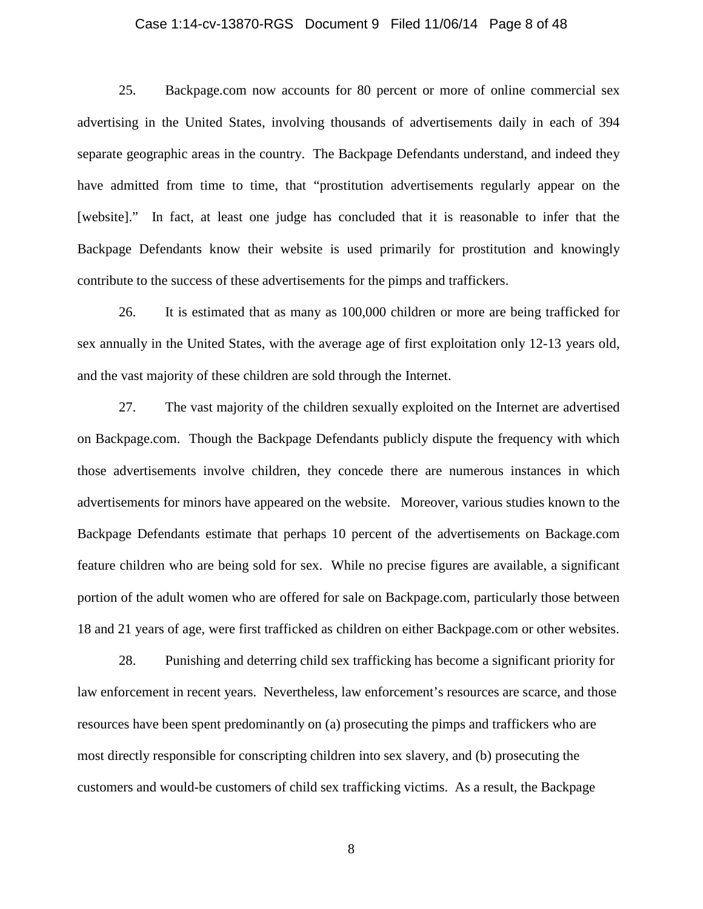### Case 1:14-cv-13870-RGS Document 9 Filed 11/06/14 Page 8 of 48

25. Backpage.com now accounts for 80 percent or more of online commercial sex advertising in the United States, involving thousands of advertisements daily in each of 394 separate geographic areas in the country. The Backpage Defendants understand, and indeed they have admitted from time to time, that "prostitution advertisements regularly appear on the [website]." In fact, at least one judge has concluded that it is reasonable to infer that the Backpage Defendants know their website is used primarily for prostitution and knowingly contribute to the success of these advertisements for the pimps and traffickers.

26. It is estimated that as many as 100,000 children or more are being trafficked for sex annually in the United States, with the average age of first exploitation only 12-13 years old, and the vast majority of these children are sold through the Internet.

27. The vast majority of the children sexually exploited on the Internet are advertised on Backpage.com. Though the Backpage Defendants publicly dispute the frequency with which those advertisements involve children, they concede there are numerous instances in which advertisements for minors have appeared on the website. Moreover, various studies known to the Backpage Defendants estimate that perhaps 10 percent of the advertisements on Backage.com feature children who are being sold for sex. While no precise figures are available, a significant portion of the adult women who are offered for sale on Backpage.com, particularly those between 18 and 21 years of age, were first trafficked as children on either Backpage.com or other websites.

28. Punishing and deterring child sex trafficking has become a significant priority for law enforcement in recent years. Nevertheless, law enforcement's resources are scarce, and those resources have been spent predominantly on (a) prosecuting the pimps and traffickers who are most directly responsible for conscripting children into sex slavery, and (b) prosecuting the customers and would-be customers of child sex trafficking victims. As a result, the Backpage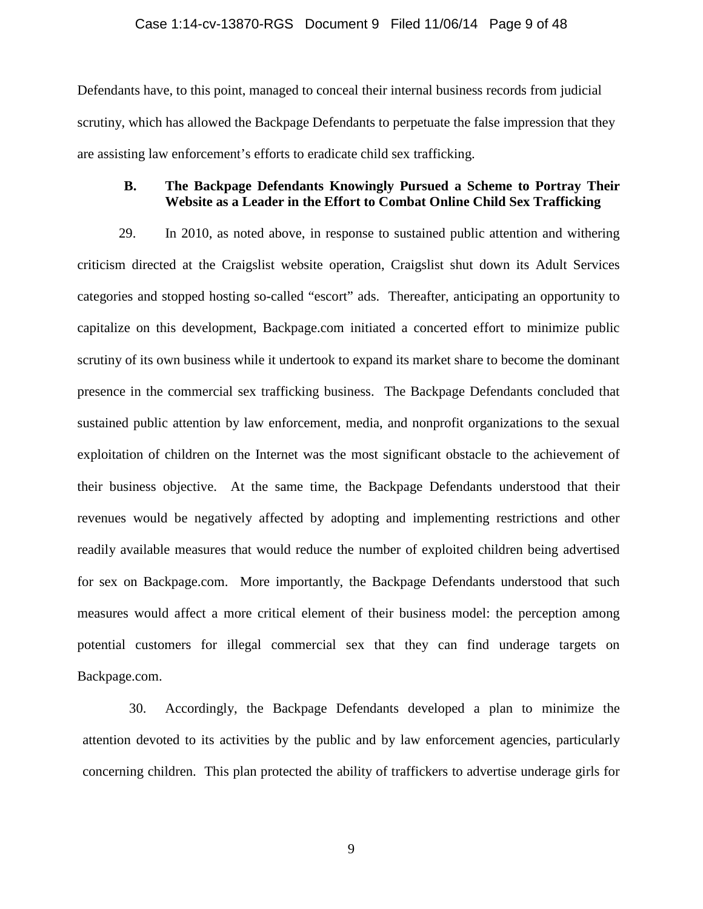### Case 1:14-cv-13870-RGS Document 9 Filed 11/06/14 Page 9 of 48

Defendants have, to this point, managed to conceal their internal business records from judicial scrutiny, which has allowed the Backpage Defendants to perpetuate the false impression that they are assisting law enforcement's efforts to eradicate child sex trafficking.

## **B. The Backpage Defendants Knowingly Pursued a Scheme to Portray Their Website as a Leader in the Effort to Combat Online Child Sex Trafficking**

29. In 2010, as noted above, in response to sustained public attention and withering criticism directed at the Craigslist website operation, Craigslist shut down its Adult Services categories and stopped hosting so-called "escort" ads. Thereafter, anticipating an opportunity to capitalize on this development, Backpage.com initiated a concerted effort to minimize public scrutiny of its own business while it undertook to expand its market share to become the dominant presence in the commercial sex trafficking business. The Backpage Defendants concluded that sustained public attention by law enforcement, media, and nonprofit organizations to the sexual exploitation of children on the Internet was the most significant obstacle to the achievement of their business objective. At the same time, the Backpage Defendants understood that their revenues would be negatively affected by adopting and implementing restrictions and other readily available measures that would reduce the number of exploited children being advertised for sex on Backpage.com. More importantly, the Backpage Defendants understood that such measures would affect a more critical element of their business model: the perception among potential customers for illegal commercial sex that they can find underage targets on Backpage.com.

30. Accordingly, the Backpage Defendants developed a plan to minimize the attention devoted to its activities by the public and by law enforcement agencies, particularly concerning children. This plan protected the ability of traffickers to advertise underage girls for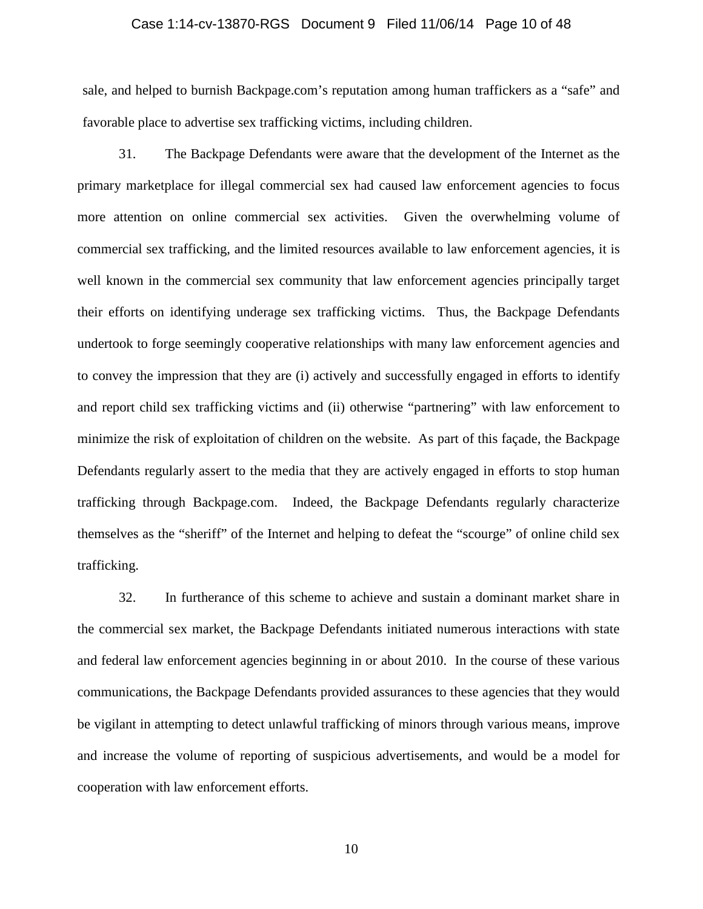### Case 1:14-cv-13870-RGS Document 9 Filed 11/06/14 Page 10 of 48

sale, and helped to burnish Backpage.com's reputation among human traffickers as a "safe" and favorable place to advertise sex trafficking victims, including children.

31. The Backpage Defendants were aware that the development of the Internet as the primary marketplace for illegal commercial sex had caused law enforcement agencies to focus more attention on online commercial sex activities. Given the overwhelming volume of commercial sex trafficking, and the limited resources available to law enforcement agencies, it is well known in the commercial sex community that law enforcement agencies principally target their efforts on identifying underage sex trafficking victims. Thus, the Backpage Defendants undertook to forge seemingly cooperative relationships with many law enforcement agencies and to convey the impression that they are (i) actively and successfully engaged in efforts to identify and report child sex trafficking victims and (ii) otherwise "partnering" with law enforcement to minimize the risk of exploitation of children on the website. As part of this façade, the Backpage Defendants regularly assert to the media that they are actively engaged in efforts to stop human trafficking through Backpage.com. Indeed, the Backpage Defendants regularly characterize themselves as the "sheriff" of the Internet and helping to defeat the "scourge" of online child sex trafficking.

32. In furtherance of this scheme to achieve and sustain a dominant market share in the commercial sex market, the Backpage Defendants initiated numerous interactions with state and federal law enforcement agencies beginning in or about 2010. In the course of these various communications, the Backpage Defendants provided assurances to these agencies that they would be vigilant in attempting to detect unlawful trafficking of minors through various means, improve and increase the volume of reporting of suspicious advertisements, and would be a model for cooperation with law enforcement efforts.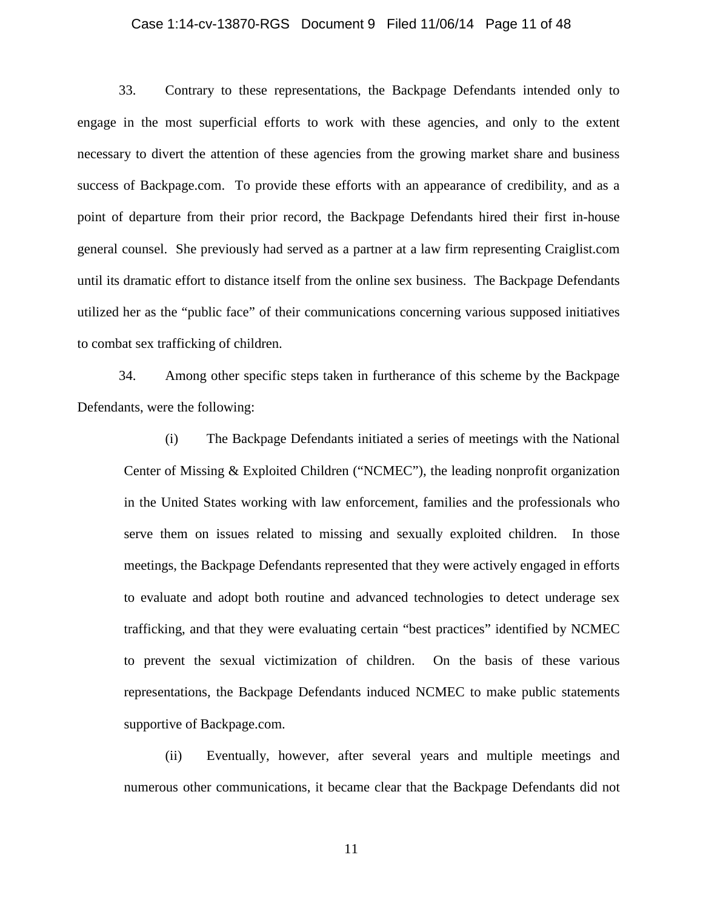### Case 1:14-cv-13870-RGS Document 9 Filed 11/06/14 Page 11 of 48

33. Contrary to these representations, the Backpage Defendants intended only to engage in the most superficial efforts to work with these agencies, and only to the extent necessary to divert the attention of these agencies from the growing market share and business success of Backpage.com. To provide these efforts with an appearance of credibility, and as a point of departure from their prior record, the Backpage Defendants hired their first in-house general counsel. She previously had served as a partner at a law firm representing Craiglist.com until its dramatic effort to distance itself from the online sex business. The Backpage Defendants utilized her as the "public face" of their communications concerning various supposed initiatives to combat sex trafficking of children.

34. Among other specific steps taken in furtherance of this scheme by the Backpage Defendants, were the following:

(i) The Backpage Defendants initiated a series of meetings with the National Center of Missing & Exploited Children ("NCMEC"), the leading nonprofit organization in the United States working with law enforcement, families and the professionals who serve them on issues related to missing and sexually exploited children. In those meetings, the Backpage Defendants represented that they were actively engaged in efforts to evaluate and adopt both routine and advanced technologies to detect underage sex trafficking, and that they were evaluating certain "best practices" identified by NCMEC to prevent the sexual victimization of children. On the basis of these various representations, the Backpage Defendants induced NCMEC to make public statements supportive of Backpage.com.

(ii) Eventually, however, after several years and multiple meetings and numerous other communications, it became clear that the Backpage Defendants did not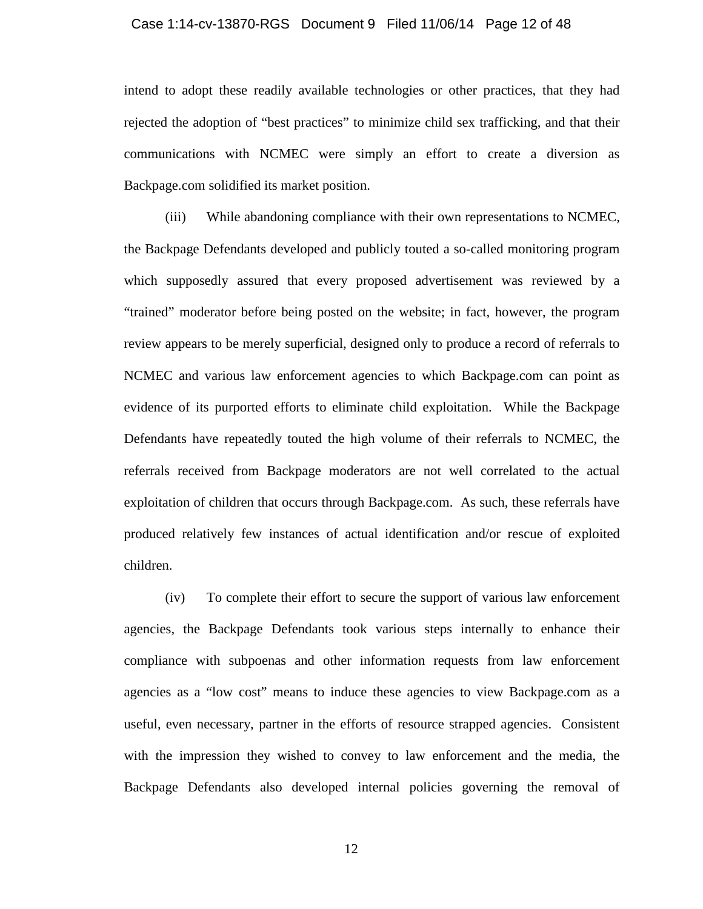#### Case 1:14-cv-13870-RGS Document 9 Filed 11/06/14 Page 12 of 48

intend to adopt these readily available technologies or other practices, that they had rejected the adoption of "best practices" to minimize child sex trafficking, and that their communications with NCMEC were simply an effort to create a diversion as Backpage.com solidified its market position.

(iii) While abandoning compliance with their own representations to NCMEC, the Backpage Defendants developed and publicly touted a so-called monitoring program which supposedly assured that every proposed advertisement was reviewed by a "trained" moderator before being posted on the website; in fact, however, the program review appears to be merely superficial, designed only to produce a record of referrals to NCMEC and various law enforcement agencies to which Backpage.com can point as evidence of its purported efforts to eliminate child exploitation. While the Backpage Defendants have repeatedly touted the high volume of their referrals to NCMEC, the referrals received from Backpage moderators are not well correlated to the actual exploitation of children that occurs through Backpage.com. As such, these referrals have produced relatively few instances of actual identification and/or rescue of exploited children.

(iv) To complete their effort to secure the support of various law enforcement agencies, the Backpage Defendants took various steps internally to enhance their compliance with subpoenas and other information requests from law enforcement agencies as a "low cost" means to induce these agencies to view Backpage.com as a useful, even necessary, partner in the efforts of resource strapped agencies. Consistent with the impression they wished to convey to law enforcement and the media, the Backpage Defendants also developed internal policies governing the removal of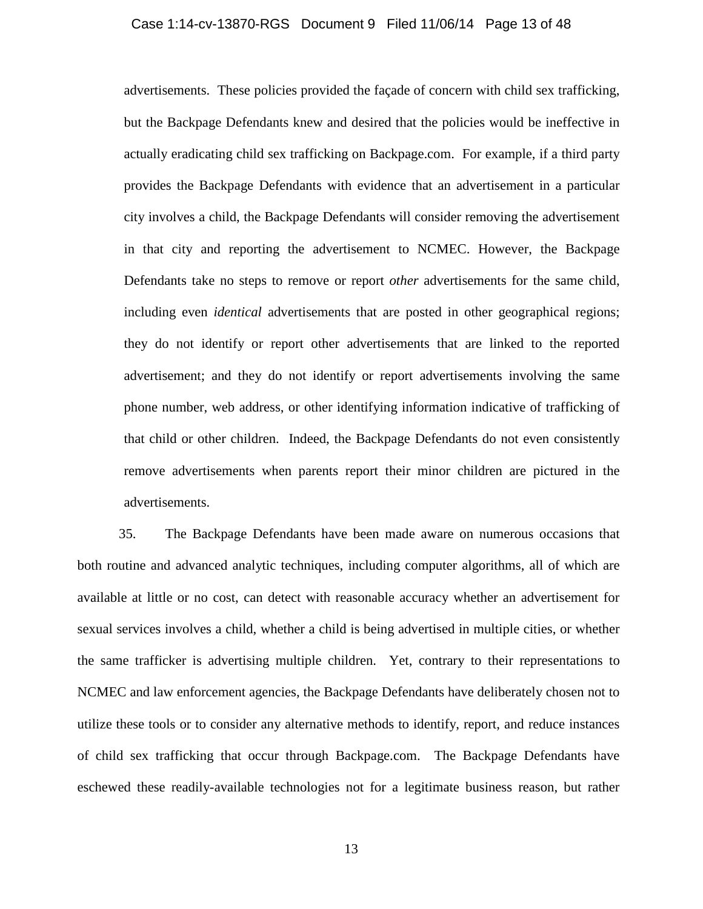#### Case 1:14-cv-13870-RGS Document 9 Filed 11/06/14 Page 13 of 48

advertisements. These policies provided the façade of concern with child sex trafficking, but the Backpage Defendants knew and desired that the policies would be ineffective in actually eradicating child sex trafficking on Backpage.com. For example, if a third party provides the Backpage Defendants with evidence that an advertisement in a particular city involves a child, the Backpage Defendants will consider removing the advertisement in that city and reporting the advertisement to NCMEC. However, the Backpage Defendants take no steps to remove or report *other* advertisements for the same child, including even *identical* advertisements that are posted in other geographical regions; they do not identify or report other advertisements that are linked to the reported advertisement; and they do not identify or report advertisements involving the same phone number, web address, or other identifying information indicative of trafficking of that child or other children. Indeed, the Backpage Defendants do not even consistently remove advertisements when parents report their minor children are pictured in the advertisements.

35. The Backpage Defendants have been made aware on numerous occasions that both routine and advanced analytic techniques, including computer algorithms, all of which are available at little or no cost, can detect with reasonable accuracy whether an advertisement for sexual services involves a child, whether a child is being advertised in multiple cities, or whether the same trafficker is advertising multiple children. Yet, contrary to their representations to NCMEC and law enforcement agencies, the Backpage Defendants have deliberately chosen not to utilize these tools or to consider any alternative methods to identify, report, and reduce instances of child sex trafficking that occur through Backpage.com. The Backpage Defendants have eschewed these readily-available technologies not for a legitimate business reason, but rather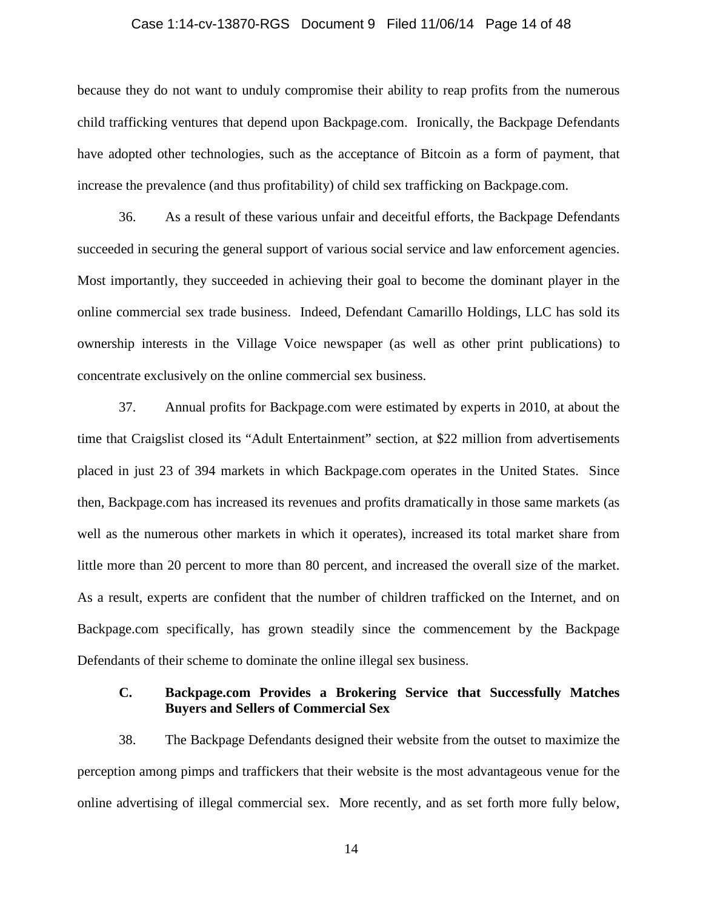### Case 1:14-cv-13870-RGS Document 9 Filed 11/06/14 Page 14 of 48

because they do not want to unduly compromise their ability to reap profits from the numerous child trafficking ventures that depend upon Backpage.com. Ironically, the Backpage Defendants have adopted other technologies, such as the acceptance of Bitcoin as a form of payment, that increase the prevalence (and thus profitability) of child sex trafficking on Backpage.com.

36. As a result of these various unfair and deceitful efforts, the Backpage Defendants succeeded in securing the general support of various social service and law enforcement agencies. Most importantly, they succeeded in achieving their goal to become the dominant player in the online commercial sex trade business. Indeed, Defendant Camarillo Holdings, LLC has sold its ownership interests in the Village Voice newspaper (as well as other print publications) to concentrate exclusively on the online commercial sex business.

37. Annual profits for Backpage.com were estimated by experts in 2010, at about the time that Craigslist closed its "Adult Entertainment" section, at \$22 million from advertisements placed in just 23 of 394 markets in which Backpage.com operates in the United States. Since then, Backpage.com has increased its revenues and profits dramatically in those same markets (as well as the numerous other markets in which it operates), increased its total market share from little more than 20 percent to more than 80 percent, and increased the overall size of the market. As a result, experts are confident that the number of children trafficked on the Internet, and on Backpage.com specifically, has grown steadily since the commencement by the Backpage Defendants of their scheme to dominate the online illegal sex business.

### **C. Backpage.com Provides a Brokering Service that Successfully Matches Buyers and Sellers of Commercial Sex**

38. The Backpage Defendants designed their website from the outset to maximize the perception among pimps and traffickers that their website is the most advantageous venue for the online advertising of illegal commercial sex. More recently, and as set forth more fully below,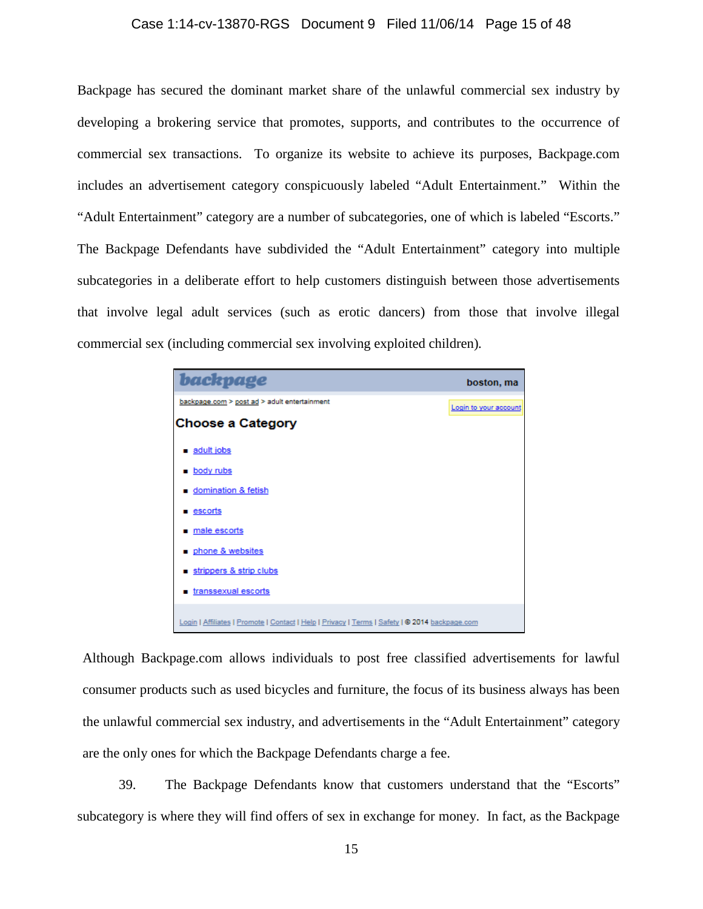### Case 1:14-cv-13870-RGS Document 9 Filed 11/06/14 Page 15 of 48

Backpage has secured the dominant market share of the unlawful commercial sex industry by developing a brokering service that promotes, supports, and contributes to the occurrence of commercial sex transactions. To organize its website to achieve its purposes, Backpage.com includes an advertisement category conspicuously labeled "Adult Entertainment." Within the "Adult Entertainment" category are a number of subcategories, one of which is labeled "Escorts." The Backpage Defendants have subdivided the "Adult Entertainment" category into multiple subcategories in a deliberate effort to help customers distinguish between those advertisements that involve legal adult services (such as erotic dancers) from those that involve illegal commercial sex (including commercial sex involving exploited children)*.* 

| backpage                                                                                       | boston, ma            |
|------------------------------------------------------------------------------------------------|-----------------------|
| backpage.com > post ad > adult entertainment                                                   | Login to your account |
| <b>Choose a Category</b>                                                                       |                       |
| ■ adult jobs                                                                                   |                       |
| <b>Dody</b> rubs                                                                               |                       |
| <b>u</b> domination & fetish                                                                   |                       |
| ■ <u>escorts</u>                                                                               |                       |
| male escorts                                                                                   |                       |
| phone & websites                                                                               |                       |
| strippers & strip clubs                                                                        |                       |
| transsexual escorts                                                                            |                       |
| Login   Affiliates   Promote   Contact   Help   Privacy   Terms   Safety   @ 2014 backpage.com |                       |

Although Backpage.com allows individuals to post free classified advertisements for lawful consumer products such as used bicycles and furniture, the focus of its business always has been the unlawful commercial sex industry, and advertisements in the "Adult Entertainment" category are the only ones for which the Backpage Defendants charge a fee.

39. The Backpage Defendants know that customers understand that the "Escorts" subcategory is where they will find offers of sex in exchange for money. In fact, as the Backpage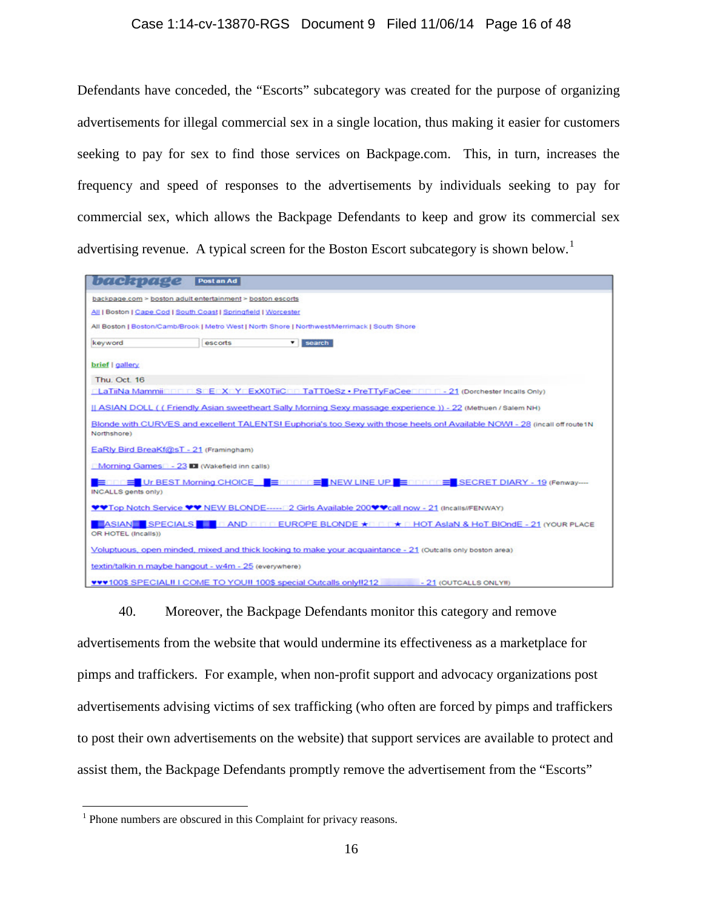### Case 1:14-cv-13870-RGS Document 9 Filed 11/06/14 Page 16 of 48

Defendants have conceded, the "Escorts" subcategory was created for the purpose of organizing advertisements for illegal commercial sex in a single location, thus making it easier for customers seeking to pay for sex to find those services on Backpage.com. This, in turn, increases the frequency and speed of responses to the advertisements by individuals seeking to pay for commercial sex, which allows the Backpage Defendants to keep and grow its commercial sex advertising revenue. A typical screen for the Boston Escort subcategory is shown below.<sup>[1](#page-15-0)</sup>

| backpage                                    | Post an Ad                                                                                                                 |
|---------------------------------------------|----------------------------------------------------------------------------------------------------------------------------|
|                                             | backpage.com > boston_adult entertainment > boston_escorts                                                                 |
|                                             | All   Boston   Cape Cod   South Coast   Springfield   Worcester                                                            |
|                                             | All Boston   Boston/Camb/Brook   Metro West   North Shore   Northwest/Merrimack   South Shore                              |
| keyword                                     | ۰<br>search<br>escorts                                                                                                     |
| brief   gallery                             |                                                                                                                            |
| Thu. Oct. 16                                |                                                                                                                            |
|                                             | <b>ELaTiiNa Mammii DDDD SDEDXDYDExXOTiiCDD TaTT0eSz · PreTTyFaCeeDDDD - 21 (Dorchester Incalls Only)</b>                   |
|                                             | II ASIAN DOLL ( (Friendly Asian sweetheart Sally Morning Sexy massage experience )) - 22 (Methuen / Salem NH)              |
| Northshore)                                 | Blonde with CURVES and excellent TALENTSI Euphoria's too Sexy with those heels onl Available NOWI - 28 (incall off route1N |
| EaRly Bird BreaKf@sT - 21 (Framingham)      |                                                                                                                            |
| Morning Games - 23 DI (Wakefield inn calls) |                                                                                                                            |
| INCALLS gents only)                         | Ennin = Ur BEST Morning CHOICE DE nonnin = NEW LINE UP DE nonnin = SECRET DIARY - 19 (Fenway----                           |
|                                             | ♥♥Top Notch Service ♥♥ NEW BLONDE----- 2 Girls Available 200♥♥call now - 21 (Incalls//FENWAY)                              |
| OR HOTEL (Incalls))                         | ■ ASIAN ■ SPECIALS ■ □ AND □ □ EUROPE BLONDE ★□ □ □★ □ HOT AsiaN & HoT BIOndE - 21 (YOUR PLACE                             |
|                                             | Voluptuous, open minded, mixed and thick looking to make your acquaintance - 21 (Outcalls only boston area)                |
|                                             | textin/talkin n maybe hangout - w4m - 25 (everywhere)                                                                      |
|                                             | <b>VVV100\$ SPECIALII I COME TO YOU!! 100\$ special Outcalls only !! 212</b><br>- 21 (OUTCALLS ONLYII)                     |

40. Moreover, the Backpage Defendants monitor this category and remove advertisements from the website that would undermine its effectiveness as a marketplace for pimps and traffickers. For example, when non-profit support and advocacy organizations post advertisements advising victims of sex trafficking (who often are forced by pimps and traffickers to post their own advertisements on the website) that support services are available to protect and assist them, the Backpage Defendants promptly remove the advertisement from the "Escorts"

<span id="page-15-0"></span><sup>&</sup>lt;sup>1</sup> Phone numbers are obscured in this Complaint for privacy reasons.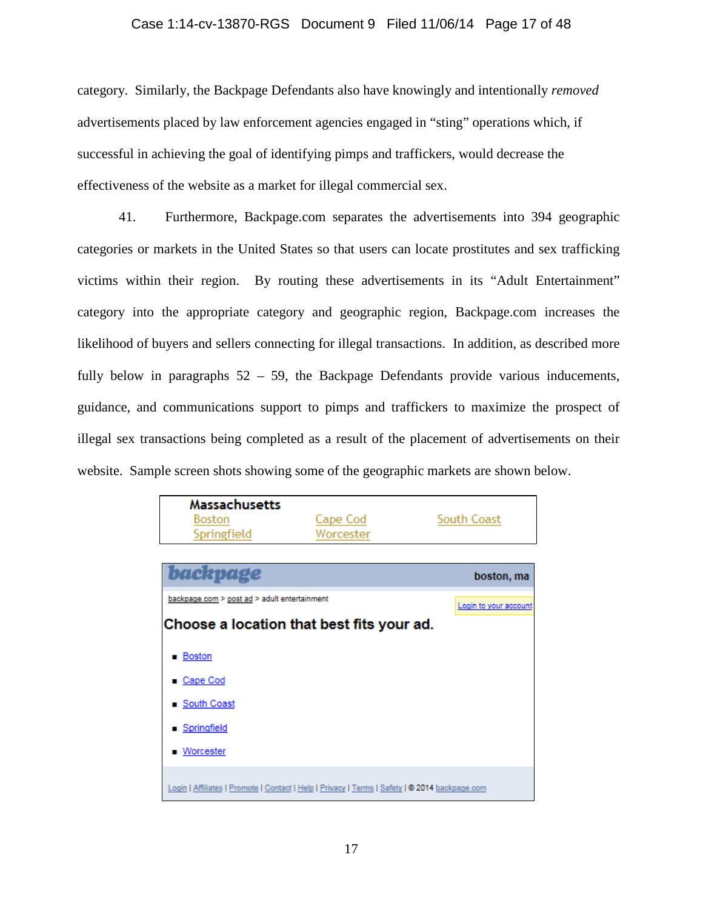### Case 1:14-cv-13870-RGS Document 9 Filed 11/06/14 Page 17 of 48

category. Similarly, the Backpage Defendants also have knowingly and intentionally *removed* advertisements placed by law enforcement agencies engaged in "sting" operations which, if successful in achieving the goal of identifying pimps and traffickers, would decrease the effectiveness of the website as a market for illegal commercial sex.

41. Furthermore, Backpage.com separates the advertisements into 394 geographic categories or markets in the United States so that users can locate prostitutes and sex trafficking victims within their region. By routing these advertisements in its "Adult Entertainment" category into the appropriate category and geographic region, Backpage.com increases the likelihood of buyers and sellers connecting for illegal transactions. In addition, as described more fully below in paragraphs  $52 - 59$ , the Backpage Defendants provide various inducements, guidance, and communications support to pimps and traffickers to maximize the prospect of illegal sex transactions being completed as a result of the placement of advertisements on their website. Sample screen shots showing some of the geographic markets are shown below.

| Massachusetts                                                                                  |           |                       |
|------------------------------------------------------------------------------------------------|-----------|-----------------------|
| Boston                                                                                         | Cape Cod  | South Coast           |
| Springfield                                                                                    | Worcester |                       |
|                                                                                                |           |                       |
| backpage                                                                                       |           | boston, ma            |
| backpage.com > post ad > adult entertainment                                                   |           | Login to your account |
| Choose a location that best fits your ad.                                                      |           |                       |
| <b>Boston</b>                                                                                  |           |                       |
| ■ Cape Cod                                                                                     |           |                       |
| ■ South Coast                                                                                  |           |                       |
| ■ Springfield                                                                                  |           |                       |
| <b>Norcester</b>                                                                               |           |                       |
| Login   Affiliates   Promote   Contact   Help   Privacy   Terms   Safety   © 2014 backpage.com |           |                       |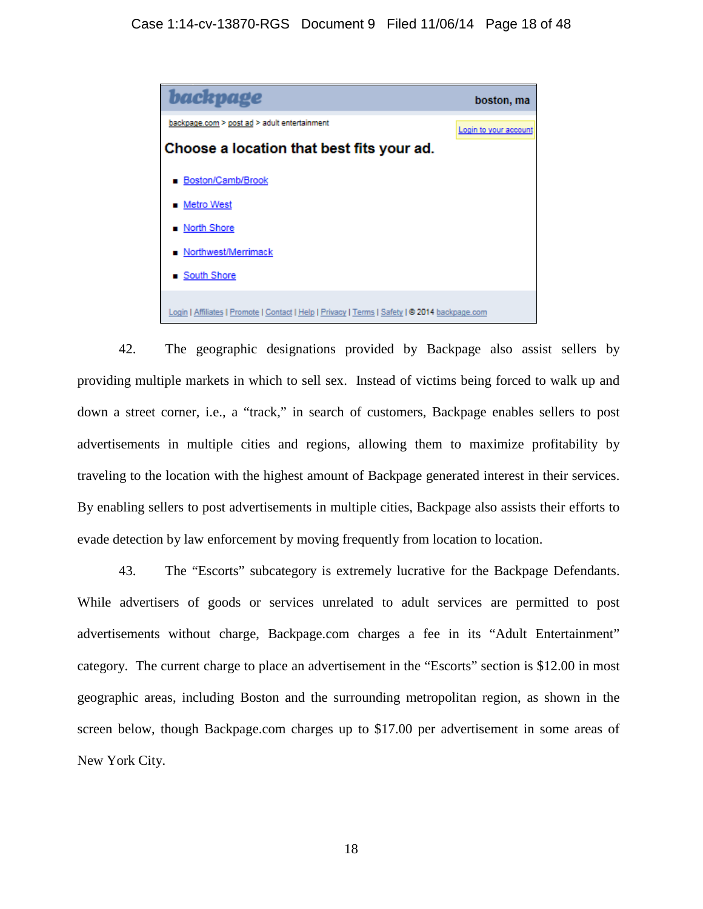

42. The geographic designations provided by Backpage also assist sellers by providing multiple markets in which to sell sex. Instead of victims being forced to walk up and down a street corner, i.e., a "track," in search of customers, Backpage enables sellers to post advertisements in multiple cities and regions, allowing them to maximize profitability by traveling to the location with the highest amount of Backpage generated interest in their services. By enabling sellers to post advertisements in multiple cities, Backpage also assists their efforts to evade detection by law enforcement by moving frequently from location to location.

43. The "Escorts" subcategory is extremely lucrative for the Backpage Defendants. While advertisers of goods or services unrelated to adult services are permitted to post advertisements without charge, Backpage.com charges a fee in its "Adult Entertainment" category. The current charge to place an advertisement in the "Escorts" section is \$12.00 in most geographic areas, including Boston and the surrounding metropolitan region, as shown in the screen below, though Backpage.com charges up to \$17.00 per advertisement in some areas of New York City.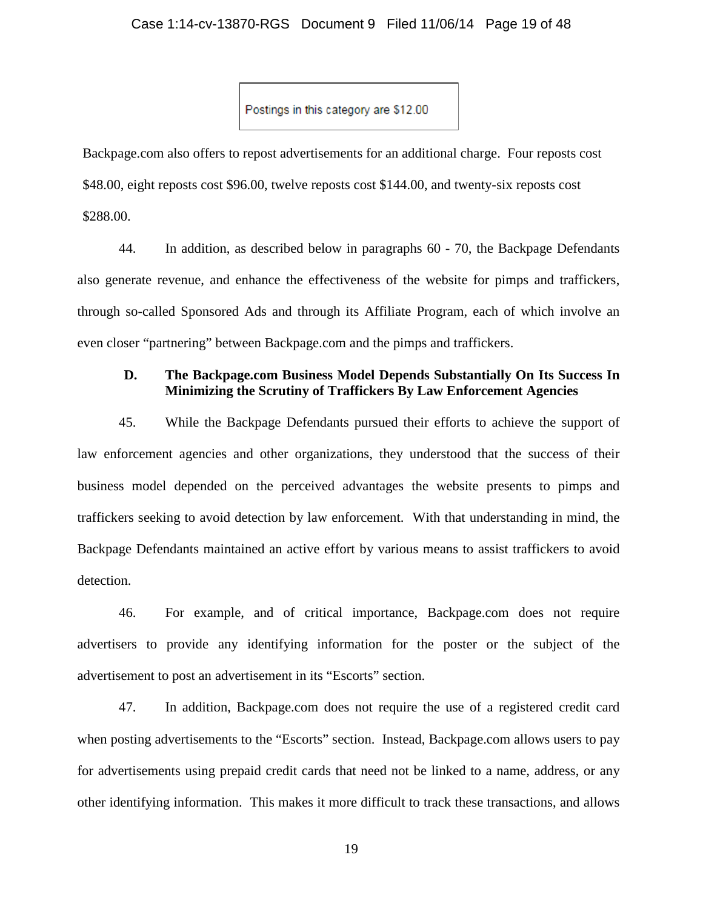Postings in this category are \$12.00

Backpage.com also offers to repost advertisements for an additional charge. Four reposts cost \$48.00, eight reposts cost \$96.00, twelve reposts cost \$144.00, and twenty-six reposts cost \$288.00.

44. In addition, as described below in paragraphs 60 - 70, the Backpage Defendants also generate revenue, and enhance the effectiveness of the website for pimps and traffickers, through so-called Sponsored Ads and through its Affiliate Program, each of which involve an even closer "partnering" between Backpage.com and the pimps and traffickers.

# **D. The Backpage.com Business Model Depends Substantially On Its Success In Minimizing the Scrutiny of Traffickers By Law Enforcement Agencies**

45. While the Backpage Defendants pursued their efforts to achieve the support of law enforcement agencies and other organizations, they understood that the success of their business model depended on the perceived advantages the website presents to pimps and traffickers seeking to avoid detection by law enforcement. With that understanding in mind, the Backpage Defendants maintained an active effort by various means to assist traffickers to avoid detection.

46. For example, and of critical importance, Backpage.com does not require advertisers to provide any identifying information for the poster or the subject of the advertisement to post an advertisement in its "Escorts" section.

47. In addition, Backpage.com does not require the use of a registered credit card when posting advertisements to the "Escorts" section. Instead, Backpage.com allows users to pay for advertisements using prepaid credit cards that need not be linked to a name, address, or any other identifying information. This makes it more difficult to track these transactions, and allows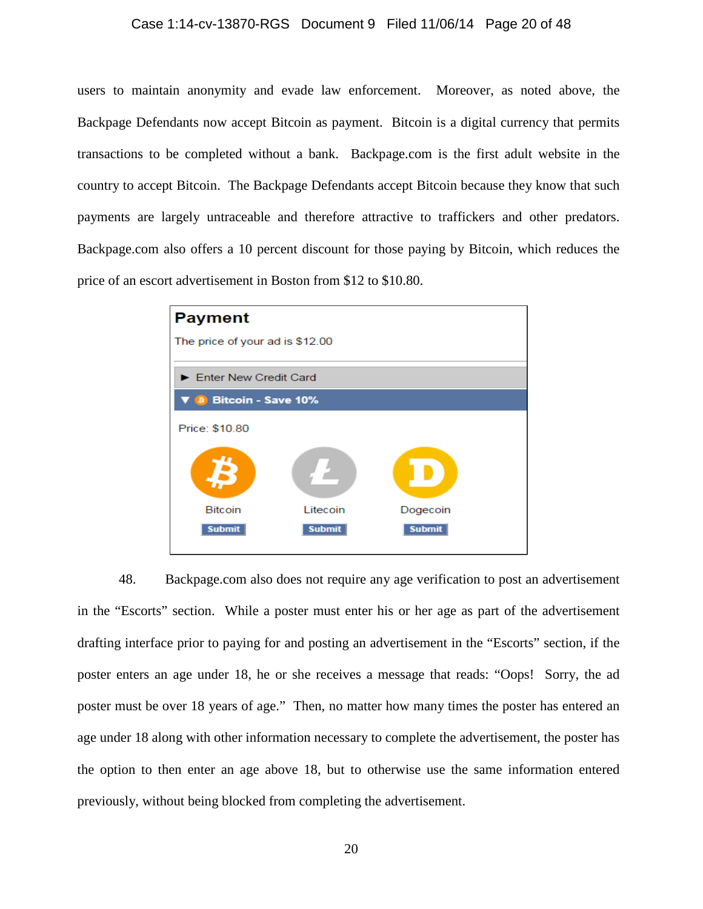### Case 1:14-cv-13870-RGS Document 9 Filed 11/06/14 Page 20 of 48

users to maintain anonymity and evade law enforcement. Moreover, as noted above, the Backpage Defendants now accept Bitcoin as payment. Bitcoin is a digital currency that permits transactions to be completed without a bank. Backpage.com is the first adult website in the country to accept Bitcoin. The Backpage Defendants accept Bitcoin because they know that such payments are largely untraceable and therefore attractive to traffickers and other predators. Backpage.com also offers a 10 percent discount for those paying by Bitcoin, which reduces the price of an escort advertisement in Boston from \$12 to \$10.80.



48. Backpage.com also does not require any age verification to post an advertisement in the "Escorts" section. While a poster must enter his or her age as part of the advertisement drafting interface prior to paying for and posting an advertisement in the "Escorts" section, if the poster enters an age under 18, he or she receives a message that reads: "Oops! Sorry, the ad poster must be over 18 years of age." Then, no matter how many times the poster has entered an age under 18 along with other information necessary to complete the advertisement, the poster has the option to then enter an age above 18, but to otherwise use the same information entered previously, without being blocked from completing the advertisement.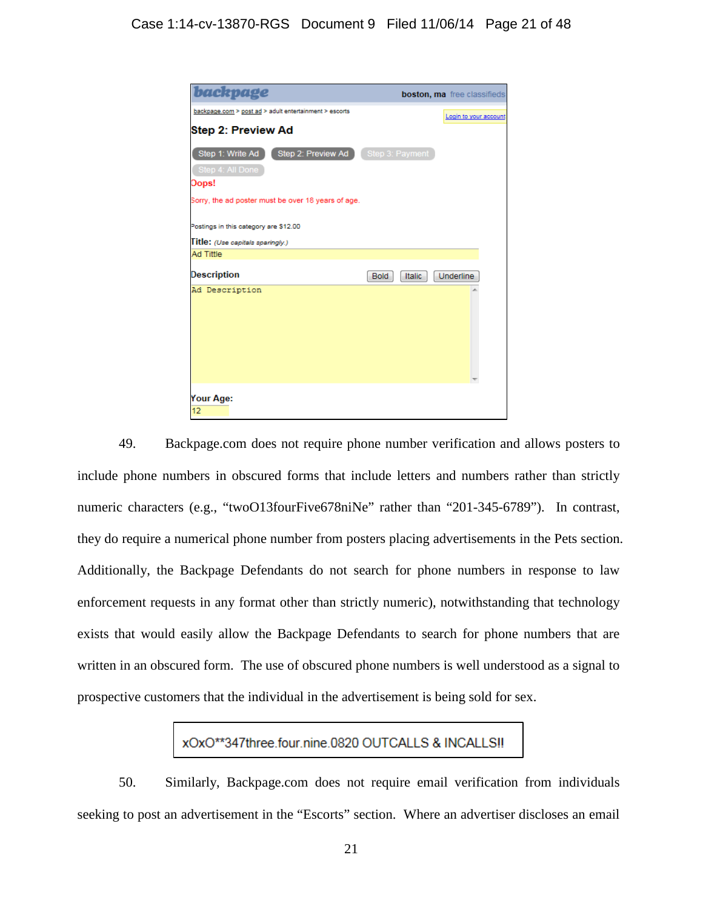| backpage                                                |                              | boston, ma free classifieds |
|---------------------------------------------------------|------------------------------|-----------------------------|
| backpage.com > post ad > adult entertainment > escorts  |                              | Login to your account       |
| Step 2: Preview Ad                                      |                              |                             |
| Step 1: Write Ad   Step 2: Preview Ad   Step 3: Payment |                              |                             |
| Step 4: All Done                                        |                              |                             |
| Oops!                                                   |                              |                             |
| Sorry, the ad poster must be over 18 years of age.      |                              |                             |
| Postings in this category are \$12.00                   |                              |                             |
| Title: (Use capitals sparingly.)<br><b>Ad Tittle</b>    |                              |                             |
|                                                         |                              |                             |
| Description                                             | <b>Bold</b><br><b>Italic</b> | Underline                   |
| Ad Description                                          |                              |                             |
| Your Age:<br>12                                         |                              |                             |

49. Backpage.com does not require phone number verification and allows posters to include phone numbers in obscured forms that include letters and numbers rather than strictly numeric characters (e.g., "twoO13fourFive678niNe" rather than "201-345-6789"). In contrast, they do require a numerical phone number from posters placing advertisements in the Pets section. Additionally, the Backpage Defendants do not search for phone numbers in response to law enforcement requests in any format other than strictly numeric), notwithstanding that technology exists that would easily allow the Backpage Defendants to search for phone numbers that are written in an obscured form. The use of obscured phone numbers is well understood as a signal to prospective customers that the individual in the advertisement is being sold for sex.

# xOxO\*\*347three.four.nine.0820 OUTCALLS & INCALLS!!

50. Similarly, Backpage.com does not require email verification from individuals seeking to post an advertisement in the "Escorts" section. Where an advertiser discloses an email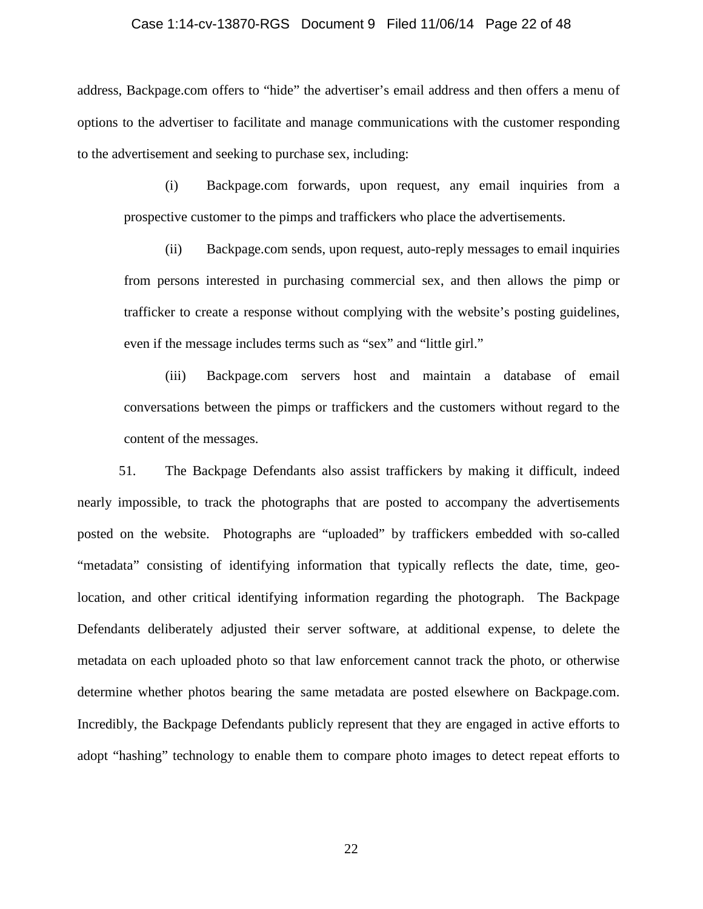### Case 1:14-cv-13870-RGS Document 9 Filed 11/06/14 Page 22 of 48

address, Backpage.com offers to "hide" the advertiser's email address and then offers a menu of options to the advertiser to facilitate and manage communications with the customer responding to the advertisement and seeking to purchase sex, including:

(i) Backpage.com forwards, upon request, any email inquiries from a prospective customer to the pimps and traffickers who place the advertisements.

(ii) Backpage.com sends, upon request, auto-reply messages to email inquiries from persons interested in purchasing commercial sex, and then allows the pimp or trafficker to create a response without complying with the website's posting guidelines, even if the message includes terms such as "sex" and "little girl."

(iii) Backpage.com servers host and maintain a database of email conversations between the pimps or traffickers and the customers without regard to the content of the messages.

51. The Backpage Defendants also assist traffickers by making it difficult, indeed nearly impossible, to track the photographs that are posted to accompany the advertisements posted on the website. Photographs are "uploaded" by traffickers embedded with so-called "metadata" consisting of identifying information that typically reflects the date, time, geolocation, and other critical identifying information regarding the photograph. The Backpage Defendants deliberately adjusted their server software, at additional expense, to delete the metadata on each uploaded photo so that law enforcement cannot track the photo, or otherwise determine whether photos bearing the same metadata are posted elsewhere on Backpage.com. Incredibly, the Backpage Defendants publicly represent that they are engaged in active efforts to adopt "hashing" technology to enable them to compare photo images to detect repeat efforts to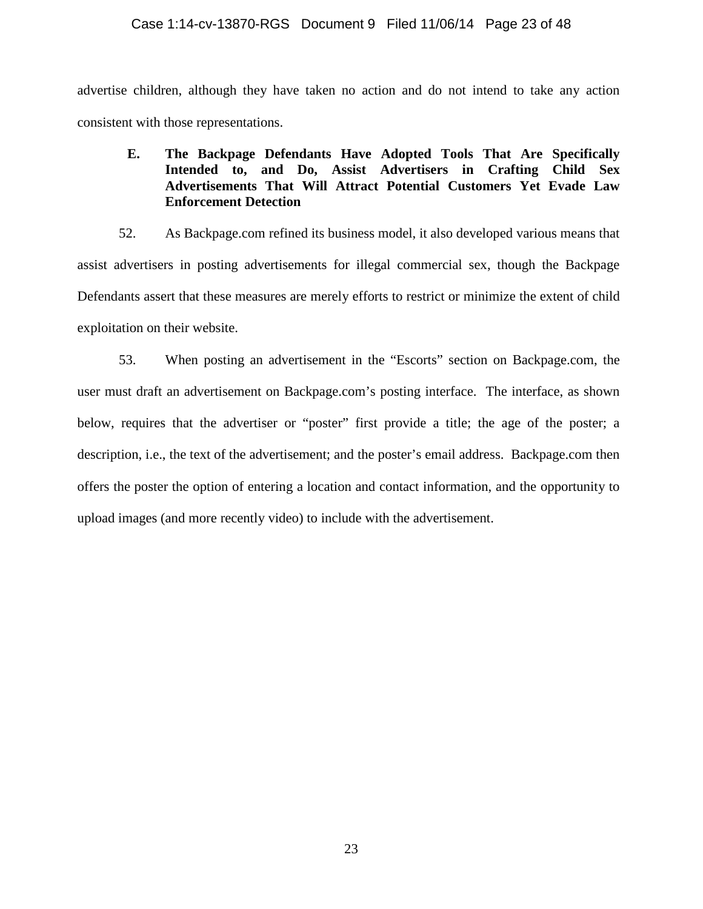advertise children, although they have taken no action and do not intend to take any action consistent with those representations.

# **E. The Backpage Defendants Have Adopted Tools That Are Specifically Intended to, and Do, Assist Advertisers in Crafting Child Sex Advertisements That Will Attract Potential Customers Yet Evade Law Enforcement Detection**

52. As Backpage.com refined its business model, it also developed various means that assist advertisers in posting advertisements for illegal commercial sex, though the Backpage Defendants assert that these measures are merely efforts to restrict or minimize the extent of child exploitation on their website.

53. When posting an advertisement in the "Escorts" section on Backpage.com, the user must draft an advertisement on Backpage.com's posting interface. The interface, as shown below, requires that the advertiser or "poster" first provide a title; the age of the poster; a description, i.e., the text of the advertisement; and the poster's email address. Backpage.com then offers the poster the option of entering a location and contact information, and the opportunity to upload images (and more recently video) to include with the advertisement.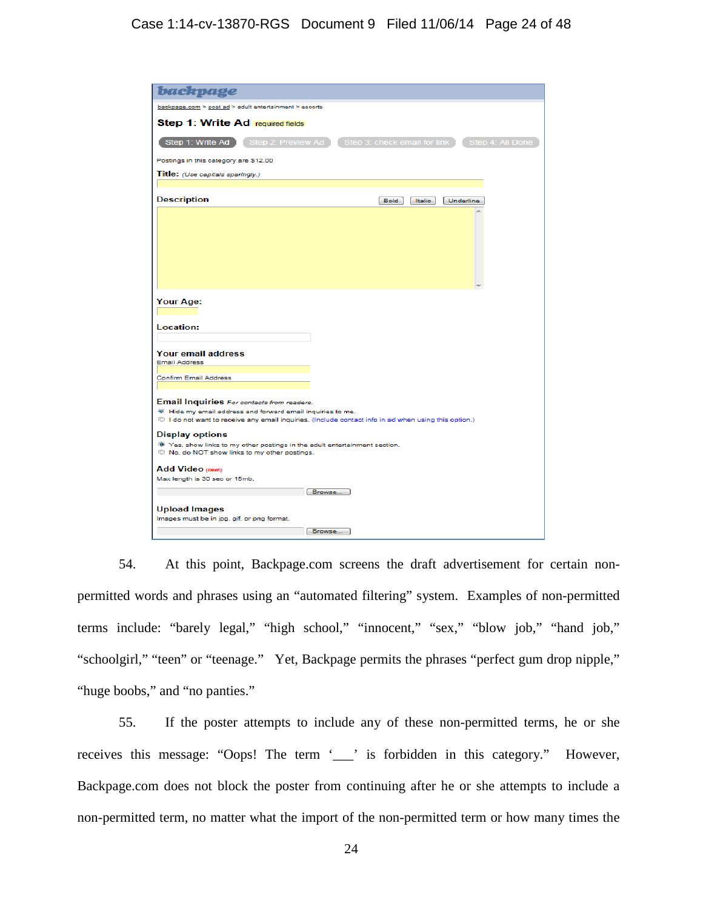# Case 1:14-cv-13870-RGS Document 9 Filed 11/06/14 Page 24 of 48

| <b>backpage</b>                                                                                                                                                                                                                                |                                                                         |
|------------------------------------------------------------------------------------------------------------------------------------------------------------------------------------------------------------------------------------------------|-------------------------------------------------------------------------|
| backpage.com > post ad > adult entertainment > escorts                                                                                                                                                                                         |                                                                         |
| <b>Step 1: Write Ad required fields</b>                                                                                                                                                                                                        |                                                                         |
| Step 1: Write Ad                                                                                                                                                                                                                               | Step 2: Preview Ad   Step 3: check email for link  <br>Step 4: All Done |
| Postings in this category are \$12.00                                                                                                                                                                                                          |                                                                         |
| Title: (Use capitals sparingly.)                                                                                                                                                                                                               |                                                                         |
|                                                                                                                                                                                                                                                |                                                                         |
| <b>Description</b>                                                                                                                                                                                                                             | Bold<br>Italic<br>Underline                                             |
|                                                                                                                                                                                                                                                |                                                                         |
| Location:<br><b>Your email address</b><br><b>Email Address</b><br><b>Confirm Email Address</b>                                                                                                                                                 |                                                                         |
| <b>Email Inquiries</b> For contacts from readers.<br><sup>68</sup> Hide my email address and forward email inquiries to me.<br><sup>1</sup> I do not want to receive any email inquiries. (Include contact info in ad when using this option.) |                                                                         |
|                                                                                                                                                                                                                                                |                                                                         |
| <b>Display options</b><br><sup>®</sup> Yes, show links to my other postings in the adult entertainment section.<br>No, do NOT show links to my other postings.                                                                                 |                                                                         |
| <b>Add Video (news)</b>                                                                                                                                                                                                                        |                                                                         |
| Max length is 30 sec or 15mb.                                                                                                                                                                                                                  |                                                                         |
|                                                                                                                                                                                                                                                | Browse                                                                  |
| <b>Upload Images</b><br>Images must be in jpg, gif, or png format.                                                                                                                                                                             | Browse                                                                  |
|                                                                                                                                                                                                                                                |                                                                         |

54. At this point, Backpage.com screens the draft advertisement for certain nonpermitted words and phrases using an "automated filtering" system. Examples of non-permitted terms include: "barely legal," "high school," "innocent," "sex," "blow job," "hand job," "schoolgirl," "teen" or "teenage." Yet, Backpage permits the phrases "perfect gum drop nipple," "huge boobs," and "no panties."

55. If the poster attempts to include any of these non-permitted terms, he or she receives this message: "Oops! The term '\_\_\_' is forbidden in this category." However, Backpage.com does not block the poster from continuing after he or she attempts to include a non-permitted term, no matter what the import of the non-permitted term or how many times the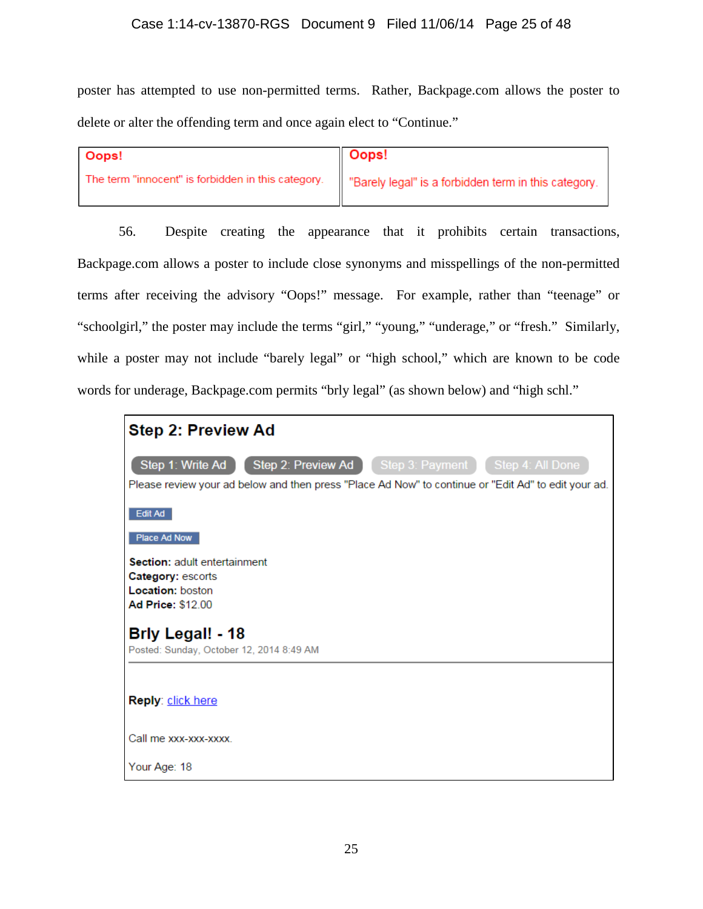# Case 1:14-cv-13870-RGS Document 9 Filed 11/06/14 Page 25 of 48

poster has attempted to use non-permitted terms. Rather, Backpage.com allows the poster to delete or alter the offending term and once again elect to "Continue."

| Oops!                                              | $\parallel$ Oops!                                   |
|----------------------------------------------------|-----------------------------------------------------|
| The term "innocent" is forbidden in this category. | Barely legal" is a forbidden term in this category. |

56. Despite creating the appearance that it prohibits certain transactions, Backpage.com allows a poster to include close synonyms and misspellings of the non-permitted terms after receiving the advisory "Oops!" message. For example, rather than "teenage" or "schoolgirl," the poster may include the terms "girl," "young," "underage," or "fresh." Similarly, while a poster may not include "barely legal" or "high school," which are known to be code words for underage, Backpage.com permits "brly legal" (as shown below) and "high schl."

| <b>Step 2: Preview Ad</b>                                                                                                                                                          |
|------------------------------------------------------------------------------------------------------------------------------------------------------------------------------------|
| Step 2: Preview Ad   Step 3: Payment   Step 4: All Done<br>Step 1: Write Ad<br>Please review your ad below and then press "Place Ad Now" to continue or "Edit Ad" to edit your ad. |
| Edit Ad                                                                                                                                                                            |
| Place Ad Now<br>Section: adult entertainment<br>Category: escorts<br>Location: boston<br>Ad Price: \$12.00                                                                         |
| <b>Brly Legal! - 18</b><br>Posted: Sunday, October 12, 2014 8:49 AM                                                                                                                |
| Reply: click here                                                                                                                                                                  |
| Call me xxx-xxx-xxxx                                                                                                                                                               |
| Your Age: 18                                                                                                                                                                       |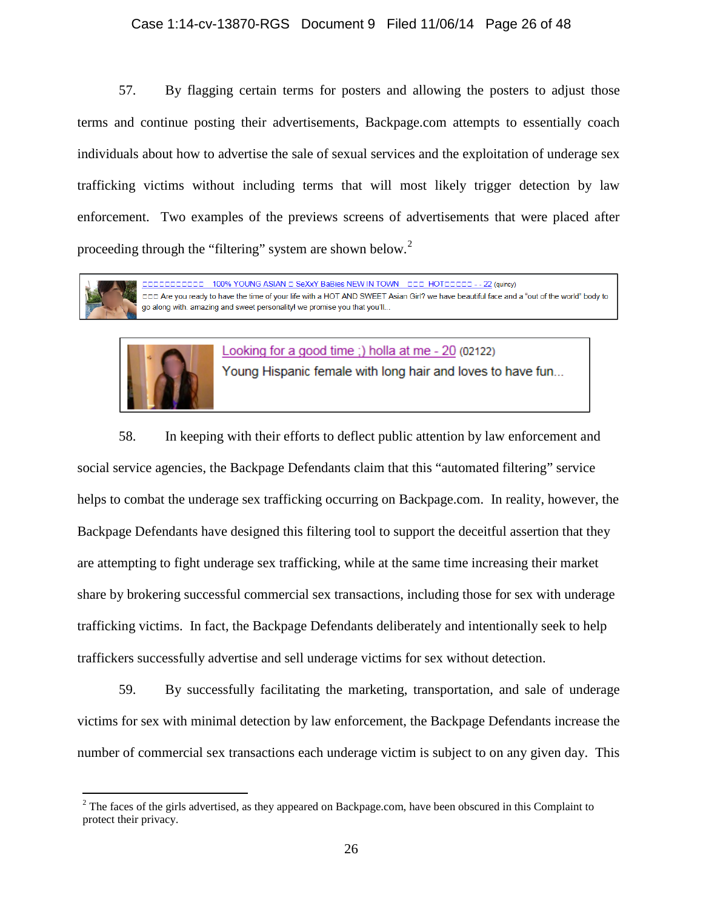### Case 1:14-cv-13870-RGS Document 9 Filed 11/06/14 Page 26 of 48

57. By flagging certain terms for posters and allowing the posters to adjust those terms and continue posting their advertisements, Backpage.com attempts to essentially coach individuals about how to advertise the sale of sexual services and the exploitation of underage sex trafficking victims without including terms that will most likely trigger detection by law enforcement. Two examples of the previews screens of advertisements that were placed after proceeding through the "filtering" system are shown below. $2^2$  $2^2$ 



100% YOUNG ASIAN DISEXXY BaBies NEW IN TOWN DOD HOTODOOD - - 22 (quincy) DDD Are you ready to have the time of your life with a HOT AND SWEET Asian Girl? we have beautiful face and a "out of the world" body to go along with. amazing and sweet personality! we promise you that you'll...



Looking for a good time :) holla at me - 20 (02122)

Young Hispanic female with long hair and loves to have fun...

58. In keeping with their efforts to deflect public attention by law enforcement and social service agencies, the Backpage Defendants claim that this "automated filtering" service helps to combat the underage sex trafficking occurring on Backpage.com. In reality, however, the Backpage Defendants have designed this filtering tool to support the deceitful assertion that they are attempting to fight underage sex trafficking, while at the same time increasing their market share by brokering successful commercial sex transactions, including those for sex with underage trafficking victims. In fact, the Backpage Defendants deliberately and intentionally seek to help traffickers successfully advertise and sell underage victims for sex without detection.

59. By successfully facilitating the marketing, transportation, and sale of underage victims for sex with minimal detection by law enforcement, the Backpage Defendants increase the number of commercial sex transactions each underage victim is subject to on any given day. This

<span id="page-25-0"></span><sup>&</sup>lt;sup>2</sup> The faces of the girls advertised, as they appeared on Backpage.com, have been obscured in this Complaint to protect their privacy.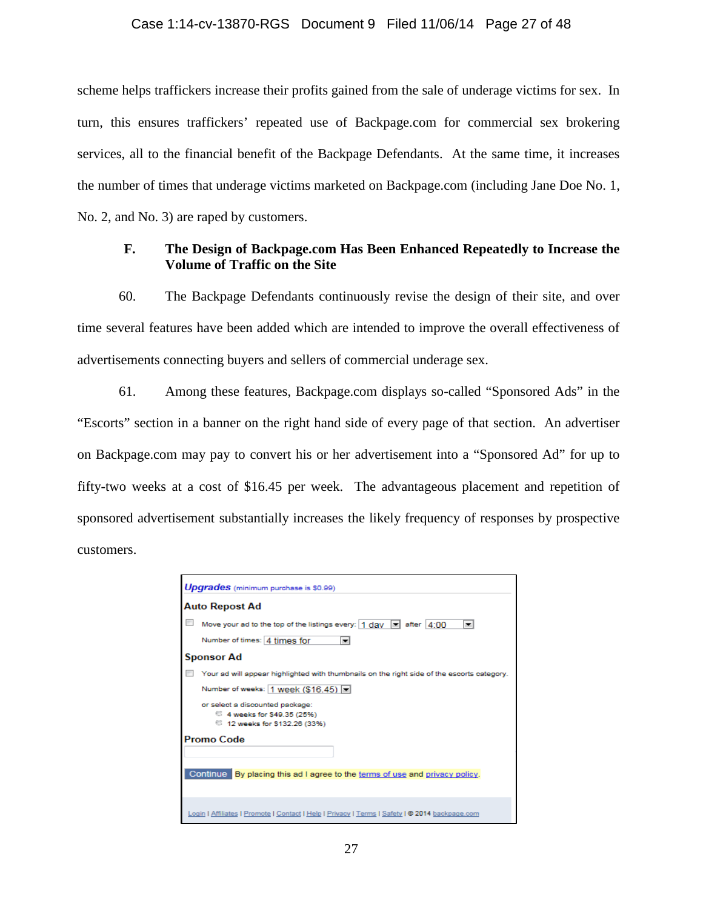### Case 1:14-cv-13870-RGS Document 9 Filed 11/06/14 Page 27 of 48

scheme helps traffickers increase their profits gained from the sale of underage victims for sex. In turn, this ensures traffickers' repeated use of Backpage.com for commercial sex brokering services, all to the financial benefit of the Backpage Defendants. At the same time, it increases the number of times that underage victims marketed on Backpage.com (including Jane Doe No. 1, No. 2, and No. 3) are raped by customers.

# **F. The Design of Backpage.com Has Been Enhanced Repeatedly to Increase the Volume of Traffic on the Site**

60. The Backpage Defendants continuously revise the design of their site, and over time several features have been added which are intended to improve the overall effectiveness of advertisements connecting buyers and sellers of commercial underage sex.

61. Among these features, Backpage.com displays so-called "Sponsored Ads" in the "Escorts" section in a banner on the right hand side of every page of that section. An advertiser on Backpage.com may pay to convert his or her advertisement into a "Sponsored Ad" for up to fifty-two weeks at a cost of \$16.45 per week. The advantageous placement and repetition of sponsored advertisement substantially increases the likely frequency of responses by prospective customers.

| Upgrades (minimum purchase is \$0.99)                                                          |
|------------------------------------------------------------------------------------------------|
| Auto Repost Ad                                                                                 |
| Move your ad to the top of the listings every: $ 1 \text{ day} \equiv $ after $ 4:00$<br>l.    |
| Number of times: 4 times for<br>$\overline{\phantom{0}}$                                       |
| <b>Sponsor Ad</b>                                                                              |
| Your ad will appear highlighted with thumbnails on the right side of the escorts category.     |
| Number of weeks:   1 week (\$16.45)   =                                                        |
| or select a discounted package:                                                                |
| <sup>6</sup> 4 weeks for \$49.35 (25%)                                                         |
| <sup>6</sup> 12 weeks for \$132.26 (33%)                                                       |
| Promo Code                                                                                     |
| Continue By placing this ad I agree to the terms of use and privacy policy.                    |
| Login   Affiliates   Promote   Contact   Help   Privacy   Terms   Safety   @ 2014 backpage.com |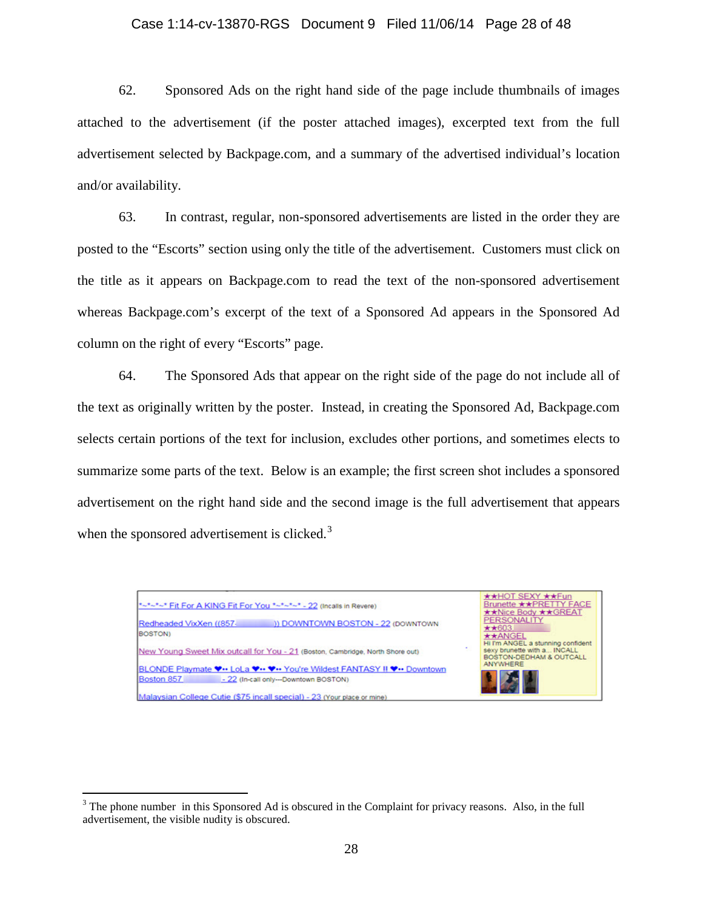### Case 1:14-cv-13870-RGS Document 9 Filed 11/06/14 Page 28 of 48

62. Sponsored Ads on the right hand side of the page include thumbnails of images attached to the advertisement (if the poster attached images), excerpted text from the full advertisement selected by Backpage.com, and a summary of the advertised individual's location and/or availability.

63. In contrast, regular, non-sponsored advertisements are listed in the order they are posted to the "Escorts" section using only the title of the advertisement. Customers must click on the title as it appears on Backpage.com to read the text of the non-sponsored advertisement whereas Backpage.com's excerpt of the text of a Sponsored Ad appears in the Sponsored Ad column on the right of every "Escorts" page.

64. The Sponsored Ads that appear on the right side of the page do not include all of the text as originally written by the poster. Instead, in creating the Sponsored Ad, Backpage.com selects certain portions of the text for inclusion, excludes other portions, and sometimes elects to summarize some parts of the text. Below is an example; the first screen shot includes a sponsored advertisement on the right hand side and the second image is the full advertisement that appears when the sponsored advertisement is clicked. $3$ 



<span id="page-27-0"></span><sup>&</sup>lt;sup>3</sup> The phone number in this Sponsored Ad is obscured in the Complaint for privacy reasons. Also, in the full advertisement, the visible nudity is obscured.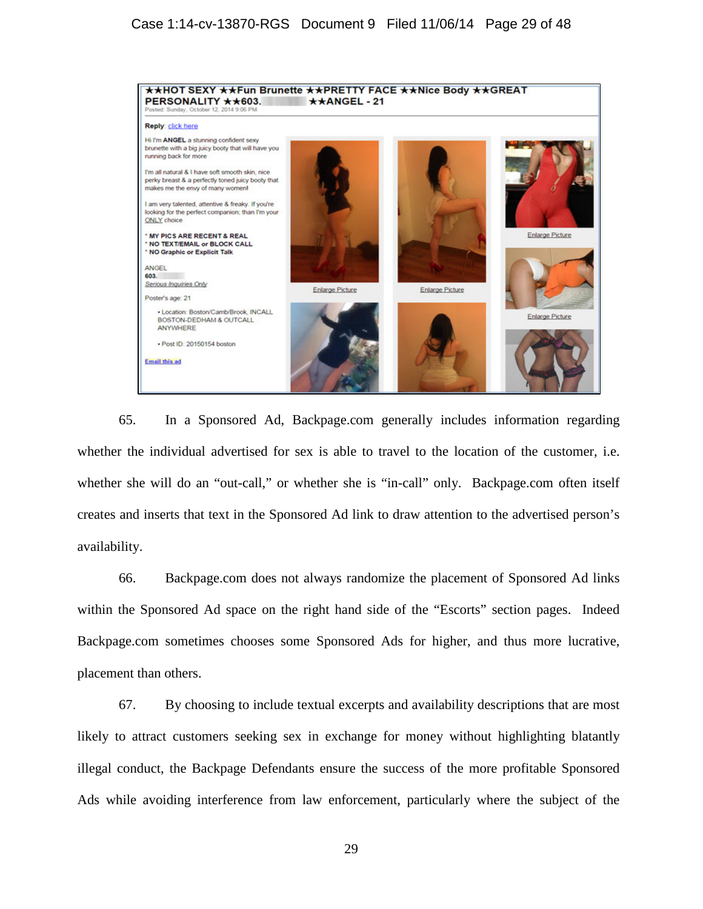

65. In a Sponsored Ad, Backpage.com generally includes information regarding whether the individual advertised for sex is able to travel to the location of the customer, i.e. whether she will do an "out-call," or whether she is "in-call" only. Backpage.com often itself creates and inserts that text in the Sponsored Ad link to draw attention to the advertised person's availability.

66. Backpage.com does not always randomize the placement of Sponsored Ad links within the Sponsored Ad space on the right hand side of the "Escorts" section pages. Indeed Backpage.com sometimes chooses some Sponsored Ads for higher, and thus more lucrative, placement than others.

67. By choosing to include textual excerpts and availability descriptions that are most likely to attract customers seeking sex in exchange for money without highlighting blatantly illegal conduct, the Backpage Defendants ensure the success of the more profitable Sponsored Ads while avoiding interference from law enforcement, particularly where the subject of the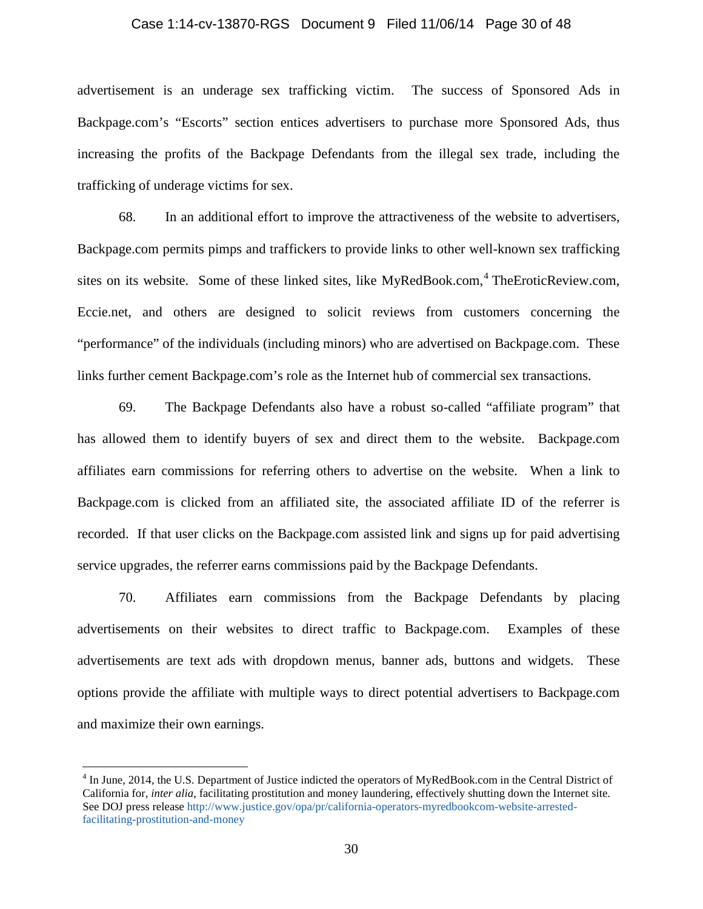### Case 1:14-cv-13870-RGS Document 9 Filed 11/06/14 Page 30 of 48

advertisement is an underage sex trafficking victim. The success of Sponsored Ads in Backpage.com's "Escorts" section entices advertisers to purchase more Sponsored Ads, thus increasing the profits of the Backpage Defendants from the illegal sex trade, including the trafficking of underage victims for sex.

68. In an additional effort to improve the attractiveness of the website to advertisers, Backpage.com permits pimps and traffickers to provide links to other well-known sex trafficking sites on its website. Some of these linked sites, like MyRedBook.com,  $4$  TheEroticReview.com, Eccie.net, and others are designed to solicit reviews from customers concerning the "performance" of the individuals (including minors) who are advertised on Backpage.com. These links further cement Backpage.com's role as the Internet hub of commercial sex transactions.

69. The Backpage Defendants also have a robust so-called "affiliate program" that has allowed them to identify buyers of sex and direct them to the website. Backpage.com affiliates earn commissions for referring others to advertise on the website. When a link to Backpage.com is clicked from an affiliated site, the associated affiliate ID of the referrer is recorded. If that user clicks on the Backpage.com assisted link and signs up for paid advertising service upgrades, the referrer earns commissions paid by the Backpage Defendants.

70. Affiliates earn commissions from the Backpage Defendants by placing advertisements on their websites to direct traffic to Backpage.com. Examples of these advertisements are text ads with dropdown menus, banner ads, buttons and widgets. These options provide the affiliate with multiple ways to direct potential advertisers to Backpage.com and maximize their own earnings.

<span id="page-29-0"></span><sup>&</sup>lt;sup>4</sup> In June, 2014, the U.S. Department of Justice indicted the operators of MyRedBook.com in the Central District of California for, *inter alia*, facilitating prostitution and money laundering, effectively shutting down the Internet site. See DOJ press release [http://www.justice.gov/opa/pr/california-operators-myredbookcom-website-arrested](http://www.justice.gov/opa/pr/california-operators-myredbookcom-website-arrested-facilitating-prostitution-and-money)[facilitating-prostitution-and-money](http://www.justice.gov/opa/pr/california-operators-myredbookcom-website-arrested-facilitating-prostitution-and-money)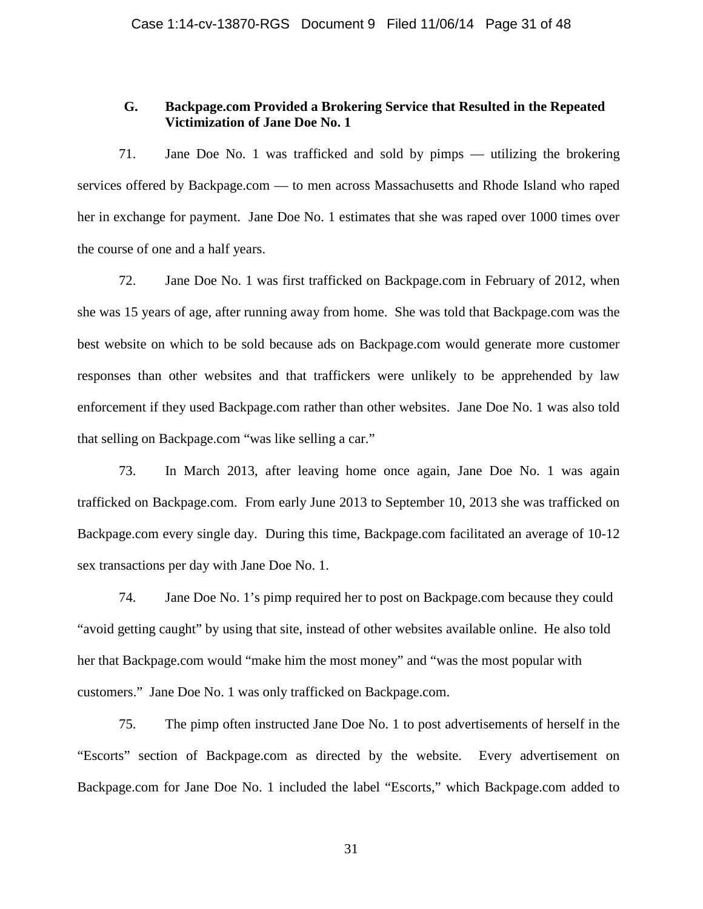# **G. Backpage.com Provided a Brokering Service that Resulted in the Repeated Victimization of Jane Doe No. 1**

71. Jane Doe No. 1 was trafficked and sold by pimps — utilizing the brokering services offered by Backpage.com — to men across Massachusetts and Rhode Island who raped her in exchange for payment. Jane Doe No. 1 estimates that she was raped over 1000 times over the course of one and a half years.

72. Jane Doe No. 1 was first trafficked on Backpage.com in February of 2012, when she was 15 years of age, after running away from home. She was told that Backpage.com was the best website on which to be sold because ads on Backpage.com would generate more customer responses than other websites and that traffickers were unlikely to be apprehended by law enforcement if they used Backpage.com rather than other websites. Jane Doe No. 1 was also told that selling on Backpage.com "was like selling a car."

73. In March 2013, after leaving home once again, Jane Doe No. 1 was again trafficked on Backpage.com. From early June 2013 to September 10, 2013 she was trafficked on Backpage.com every single day. During this time, Backpage.com facilitated an average of 10-12 sex transactions per day with Jane Doe No. 1.

74. Jane Doe No. 1's pimp required her to post on Backpage.com because they could "avoid getting caught" by using that site, instead of other websites available online. He also told her that Backpage.com would "make him the most money" and "was the most popular with customers." Jane Doe No. 1 was only trafficked on Backpage.com.

75. The pimp often instructed Jane Doe No. 1 to post advertisements of herself in the "Escorts" section of Backpage.com as directed by the website. Every advertisement on Backpage.com for Jane Doe No. 1 included the label "Escorts," which Backpage.com added to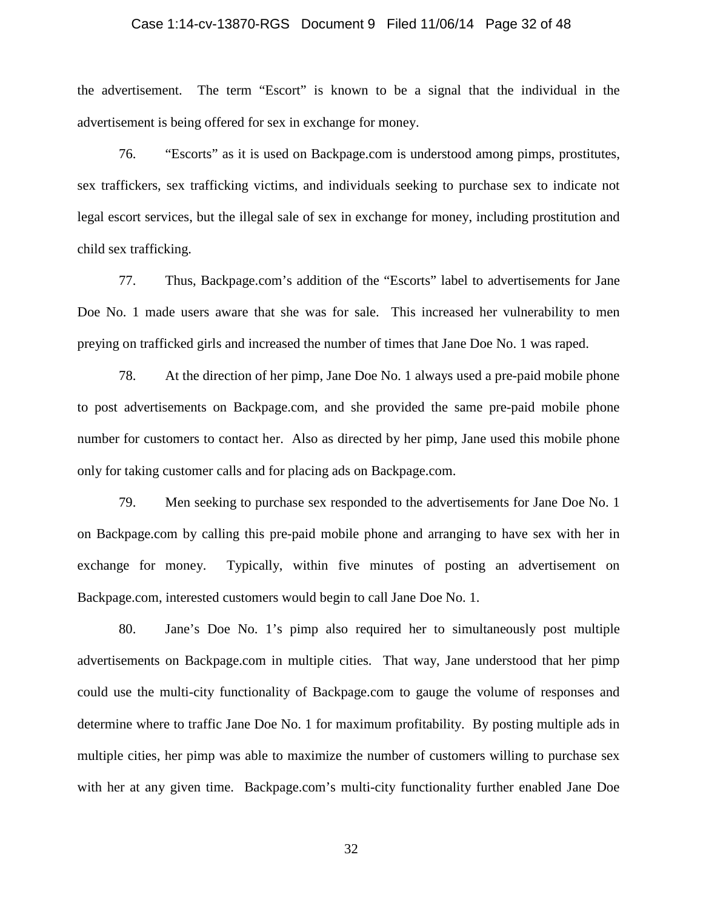### Case 1:14-cv-13870-RGS Document 9 Filed 11/06/14 Page 32 of 48

the advertisement. The term "Escort" is known to be a signal that the individual in the advertisement is being offered for sex in exchange for money.

76. "Escorts" as it is used on Backpage.com is understood among pimps, prostitutes, sex traffickers, sex trafficking victims, and individuals seeking to purchase sex to indicate not legal escort services, but the illegal sale of sex in exchange for money, including prostitution and child sex trafficking.

77. Thus, Backpage.com's addition of the "Escorts" label to advertisements for Jane Doe No. 1 made users aware that she was for sale. This increased her vulnerability to men preying on trafficked girls and increased the number of times that Jane Doe No. 1 was raped.

78. At the direction of her pimp, Jane Doe No. 1 always used a pre-paid mobile phone to post advertisements on Backpage.com, and she provided the same pre-paid mobile phone number for customers to contact her. Also as directed by her pimp, Jane used this mobile phone only for taking customer calls and for placing ads on Backpage.com.

79. Men seeking to purchase sex responded to the advertisements for Jane Doe No. 1 on Backpage.com by calling this pre-paid mobile phone and arranging to have sex with her in exchange for money. Typically, within five minutes of posting an advertisement on Backpage.com, interested customers would begin to call Jane Doe No. 1.

80. Jane's Doe No. 1's pimp also required her to simultaneously post multiple advertisements on Backpage.com in multiple cities. That way, Jane understood that her pimp could use the multi-city functionality of Backpage.com to gauge the volume of responses and determine where to traffic Jane Doe No. 1 for maximum profitability. By posting multiple ads in multiple cities, her pimp was able to maximize the number of customers willing to purchase sex with her at any given time. Backpage.com's multi-city functionality further enabled Jane Doe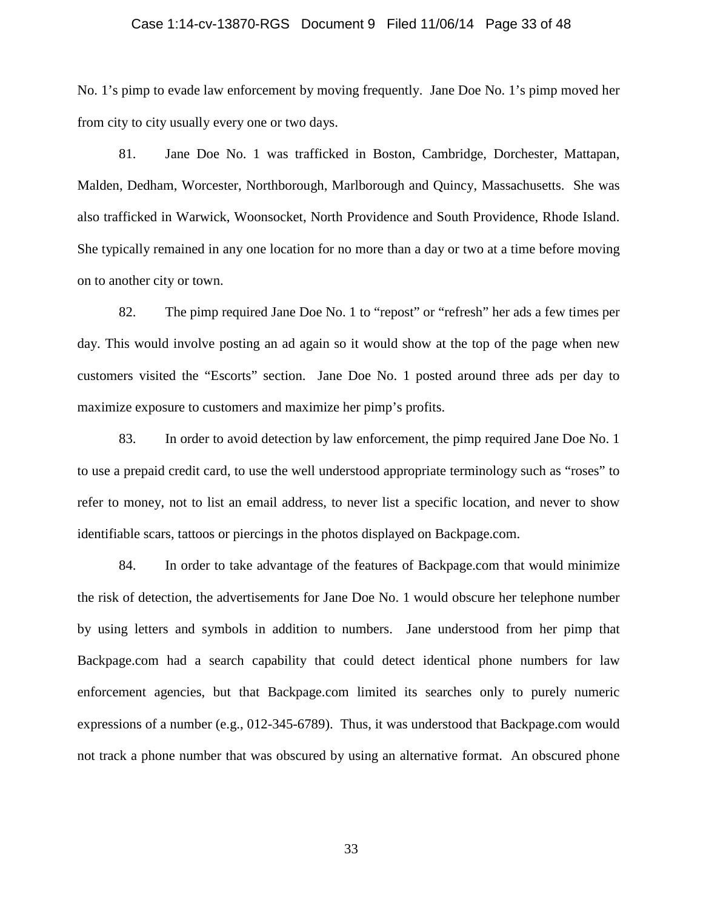### Case 1:14-cv-13870-RGS Document 9 Filed 11/06/14 Page 33 of 48

No. 1's pimp to evade law enforcement by moving frequently. Jane Doe No. 1's pimp moved her from city to city usually every one or two days.

81. Jane Doe No. 1 was trafficked in Boston, Cambridge, Dorchester, Mattapan, Malden, Dedham, Worcester, Northborough, Marlborough and Quincy, Massachusetts. She was also trafficked in Warwick, Woonsocket, North Providence and South Providence, Rhode Island. She typically remained in any one location for no more than a day or two at a time before moving on to another city or town.

82. The pimp required Jane Doe No. 1 to "repost" or "refresh" her ads a few times per day. This would involve posting an ad again so it would show at the top of the page when new customers visited the "Escorts" section. Jane Doe No. 1 posted around three ads per day to maximize exposure to customers and maximize her pimp's profits.

83. In order to avoid detection by law enforcement, the pimp required Jane Doe No. 1 to use a prepaid credit card, to use the well understood appropriate terminology such as "roses" to refer to money, not to list an email address, to never list a specific location, and never to show identifiable scars, tattoos or piercings in the photos displayed on Backpage.com.

84. In order to take advantage of the features of Backpage.com that would minimize the risk of detection, the advertisements for Jane Doe No. 1 would obscure her telephone number by using letters and symbols in addition to numbers. Jane understood from her pimp that Backpage.com had a search capability that could detect identical phone numbers for law enforcement agencies, but that Backpage.com limited its searches only to purely numeric expressions of a number (e.g., 012-345-6789). Thus, it was understood that Backpage.com would not track a phone number that was obscured by using an alternative format. An obscured phone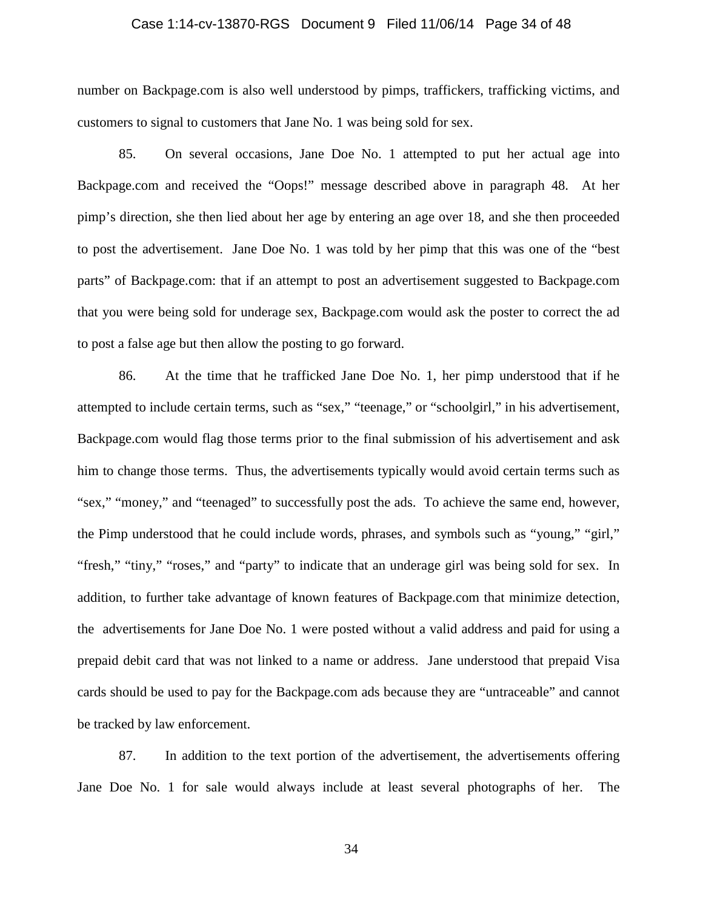### Case 1:14-cv-13870-RGS Document 9 Filed 11/06/14 Page 34 of 48

number on Backpage.com is also well understood by pimps, traffickers, trafficking victims, and customers to signal to customers that Jane No. 1 was being sold for sex.

85. On several occasions, Jane Doe No. 1 attempted to put her actual age into Backpage.com and received the "Oops!" message described above in paragraph 48. At her pimp's direction, she then lied about her age by entering an age over 18, and she then proceeded to post the advertisement. Jane Doe No. 1 was told by her pimp that this was one of the "best parts" of Backpage.com: that if an attempt to post an advertisement suggested to Backpage.com that you were being sold for underage sex, Backpage.com would ask the poster to correct the ad to post a false age but then allow the posting to go forward.

86. At the time that he trafficked Jane Doe No. 1, her pimp understood that if he attempted to include certain terms, such as "sex," "teenage," or "schoolgirl," in his advertisement, Backpage.com would flag those terms prior to the final submission of his advertisement and ask him to change those terms. Thus, the advertisements typically would avoid certain terms such as "sex," "money," and "teenaged" to successfully post the ads. To achieve the same end, however, the Pimp understood that he could include words, phrases, and symbols such as "young," "girl," "fresh," "tiny," "roses," and "party" to indicate that an underage girl was being sold for sex. In addition, to further take advantage of known features of Backpage.com that minimize detection, the advertisements for Jane Doe No. 1 were posted without a valid address and paid for using a prepaid debit card that was not linked to a name or address. Jane understood that prepaid Visa cards should be used to pay for the Backpage.com ads because they are "untraceable" and cannot be tracked by law enforcement.

87. In addition to the text portion of the advertisement, the advertisements offering Jane Doe No. 1 for sale would always include at least several photographs of her. The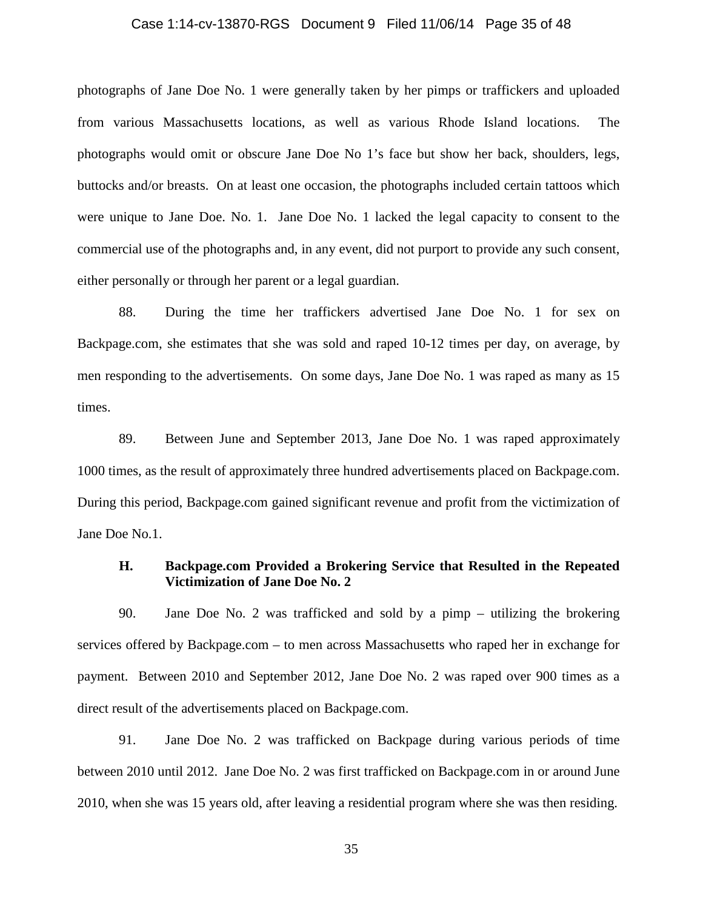### Case 1:14-cv-13870-RGS Document 9 Filed 11/06/14 Page 35 of 48

photographs of Jane Doe No. 1 were generally taken by her pimps or traffickers and uploaded from various Massachusetts locations, as well as various Rhode Island locations. The photographs would omit or obscure Jane Doe No 1's face but show her back, shoulders, legs, buttocks and/or breasts. On at least one occasion, the photographs included certain tattoos which were unique to Jane Doe. No. 1. Jane Doe No. 1 lacked the legal capacity to consent to the commercial use of the photographs and, in any event, did not purport to provide any such consent, either personally or through her parent or a legal guardian.

88. During the time her traffickers advertised Jane Doe No. 1 for sex on Backpage.com, she estimates that she was sold and raped 10-12 times per day, on average, by men responding to the advertisements. On some days, Jane Doe No. 1 was raped as many as 15 times.

89. Between June and September 2013, Jane Doe No. 1 was raped approximately 1000 times, as the result of approximately three hundred advertisements placed on Backpage.com. During this period, Backpage.com gained significant revenue and profit from the victimization of Jane Doe No.1.

### **H. Backpage.com Provided a Brokering Service that Resulted in the Repeated Victimization of Jane Doe No. 2**

90. Jane Doe No. 2 was trafficked and sold by a pimp – utilizing the brokering services offered by Backpage.com – to men across Massachusetts who raped her in exchange for payment. Between 2010 and September 2012, Jane Doe No. 2 was raped over 900 times as a direct result of the advertisements placed on Backpage.com.

91. Jane Doe No. 2 was trafficked on Backpage during various periods of time between 2010 until 2012. Jane Doe No. 2 was first trafficked on Backpage.com in or around June 2010, when she was 15 years old, after leaving a residential program where she was then residing.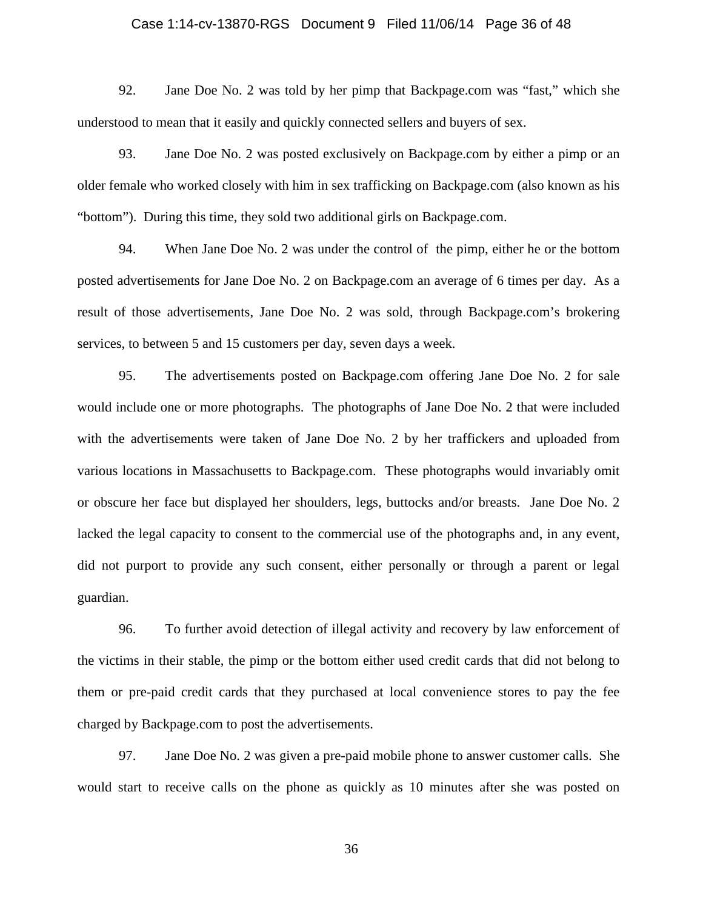### Case 1:14-cv-13870-RGS Document 9 Filed 11/06/14 Page 36 of 48

92. Jane Doe No. 2 was told by her pimp that Backpage.com was "fast," which she understood to mean that it easily and quickly connected sellers and buyers of sex.

93. Jane Doe No. 2 was posted exclusively on Backpage.com by either a pimp or an older female who worked closely with him in sex trafficking on Backpage.com (also known as his "bottom"). During this time, they sold two additional girls on Backpage.com.

94. When Jane Doe No. 2 was under the control of the pimp, either he or the bottom posted advertisements for Jane Doe No. 2 on Backpage.com an average of 6 times per day. As a result of those advertisements, Jane Doe No. 2 was sold, through Backpage.com's brokering services, to between 5 and 15 customers per day, seven days a week.

95. The advertisements posted on Backpage.com offering Jane Doe No. 2 for sale would include one or more photographs. The photographs of Jane Doe No. 2 that were included with the advertisements were taken of Jane Doe No. 2 by her traffickers and uploaded from various locations in Massachusetts to Backpage.com. These photographs would invariably omit or obscure her face but displayed her shoulders, legs, buttocks and/or breasts. Jane Doe No. 2 lacked the legal capacity to consent to the commercial use of the photographs and, in any event, did not purport to provide any such consent, either personally or through a parent or legal guardian.

96. To further avoid detection of illegal activity and recovery by law enforcement of the victims in their stable, the pimp or the bottom either used credit cards that did not belong to them or pre-paid credit cards that they purchased at local convenience stores to pay the fee charged by Backpage.com to post the advertisements.

97. Jane Doe No. 2 was given a pre-paid mobile phone to answer customer calls. She would start to receive calls on the phone as quickly as 10 minutes after she was posted on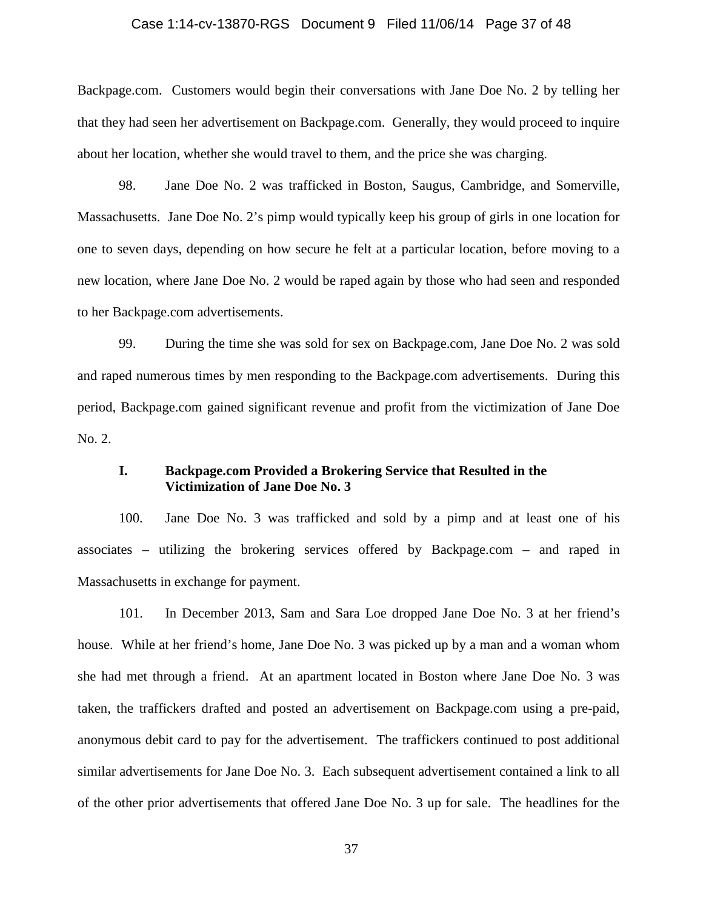### Case 1:14-cv-13870-RGS Document 9 Filed 11/06/14 Page 37 of 48

Backpage.com. Customers would begin their conversations with Jane Doe No. 2 by telling her that they had seen her advertisement on Backpage.com. Generally, they would proceed to inquire about her location, whether she would travel to them, and the price she was charging.

98. Jane Doe No. 2 was trafficked in Boston, Saugus, Cambridge, and Somerville, Massachusetts. Jane Doe No. 2's pimp would typically keep his group of girls in one location for one to seven days, depending on how secure he felt at a particular location, before moving to a new location, where Jane Doe No. 2 would be raped again by those who had seen and responded to her Backpage.com advertisements.

99. During the time she was sold for sex on Backpage.com, Jane Doe No. 2 was sold and raped numerous times by men responding to the Backpage.com advertisements. During this period, Backpage.com gained significant revenue and profit from the victimization of Jane Doe No. 2.

# **I. Backpage.com Provided a Brokering Service that Resulted in the Victimization of Jane Doe No. 3**

100. Jane Doe No. 3 was trafficked and sold by a pimp and at least one of his associates – utilizing the brokering services offered by Backpage.com – and raped in Massachusetts in exchange for payment.

101. In December 2013, Sam and Sara Loe dropped Jane Doe No. 3 at her friend's house.While at her friend's home, Jane Doe No. 3 was picked up by a man and a woman whom she had met through a friend. At an apartment located in Boston where Jane Doe No. 3 was taken, the traffickers drafted and posted an advertisement on Backpage.com using a pre-paid, anonymous debit card to pay for the advertisement. The traffickers continued to post additional similar advertisements for Jane Doe No. 3. Each subsequent advertisement contained a link to all of the other prior advertisements that offered Jane Doe No. 3 up for sale. The headlines for the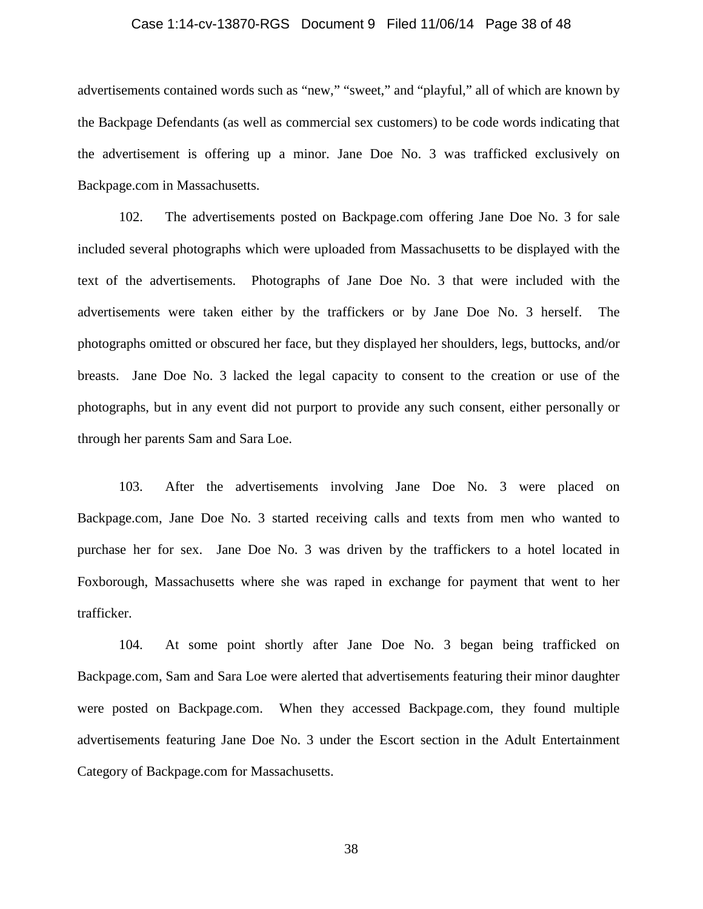### Case 1:14-cv-13870-RGS Document 9 Filed 11/06/14 Page 38 of 48

advertisements contained words such as "new," "sweet," and "playful," all of which are known by the Backpage Defendants (as well as commercial sex customers) to be code words indicating that the advertisement is offering up a minor. Jane Doe No. 3 was trafficked exclusively on Backpage.com in Massachusetts.

102. The advertisements posted on Backpage.com offering Jane Doe No. 3 for sale included several photographs which were uploaded from Massachusetts to be displayed with the text of the advertisements. Photographs of Jane Doe No. 3 that were included with the advertisements were taken either by the traffickers or by Jane Doe No. 3 herself. The photographs omitted or obscured her face, but they displayed her shoulders, legs, buttocks, and/or breasts. Jane Doe No. 3 lacked the legal capacity to consent to the creation or use of the photographs, but in any event did not purport to provide any such consent, either personally or through her parents Sam and Sara Loe.

103. After the advertisements involving Jane Doe No. 3 were placed on Backpage.com, Jane Doe No. 3 started receiving calls and texts from men who wanted to purchase her for sex. Jane Doe No. 3 was driven by the traffickers to a hotel located in Foxborough, Massachusetts where she was raped in exchange for payment that went to her trafficker.

104. At some point shortly after Jane Doe No. 3 began being trafficked on Backpage.com, Sam and Sara Loe were alerted that advertisements featuring their minor daughter were posted on Backpage.com. When they accessed Backpage.com, they found multiple advertisements featuring Jane Doe No. 3 under the Escort section in the Adult Entertainment Category of Backpage.com for Massachusetts.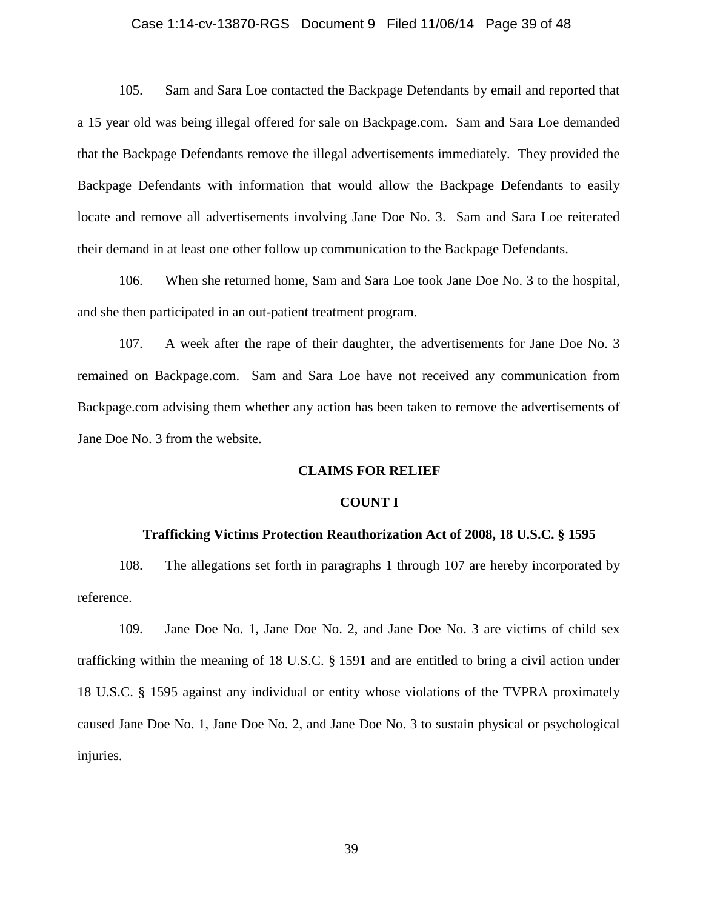### Case 1:14-cv-13870-RGS Document 9 Filed 11/06/14 Page 39 of 48

105. Sam and Sara Loe contacted the Backpage Defendants by email and reported that a 15 year old was being illegal offered for sale on Backpage.com. Sam and Sara Loe demanded that the Backpage Defendants remove the illegal advertisements immediately. They provided the Backpage Defendants with information that would allow the Backpage Defendants to easily locate and remove all advertisements involving Jane Doe No. 3. Sam and Sara Loe reiterated their demand in at least one other follow up communication to the Backpage Defendants.

106. When she returned home, Sam and Sara Loe took Jane Doe No. 3 to the hospital, and she then participated in an out-patient treatment program.

107. A week after the rape of their daughter, the advertisements for Jane Doe No. 3 remained on Backpage.com. Sam and Sara Loe have not received any communication from Backpage.com advising them whether any action has been taken to remove the advertisements of Jane Doe No. 3 from the website.

### **CLAIMS FOR RELIEF**

#### **COUNT I**

#### **Trafficking Victims Protection Reauthorization Act of 2008, 18 U.S.C. § 1595**

108. The allegations set forth in paragraphs 1 through 107 are hereby incorporated by reference.

109. Jane Doe No. 1, Jane Doe No. 2, and Jane Doe No. 3 are victims of child sex trafficking within the meaning of 18 U.S.C. § 1591 and are entitled to bring a civil action under 18 U.S.C. § 1595 against any individual or entity whose violations of the TVPRA proximately caused Jane Doe No. 1, Jane Doe No. 2, and Jane Doe No. 3 to sustain physical or psychological injuries.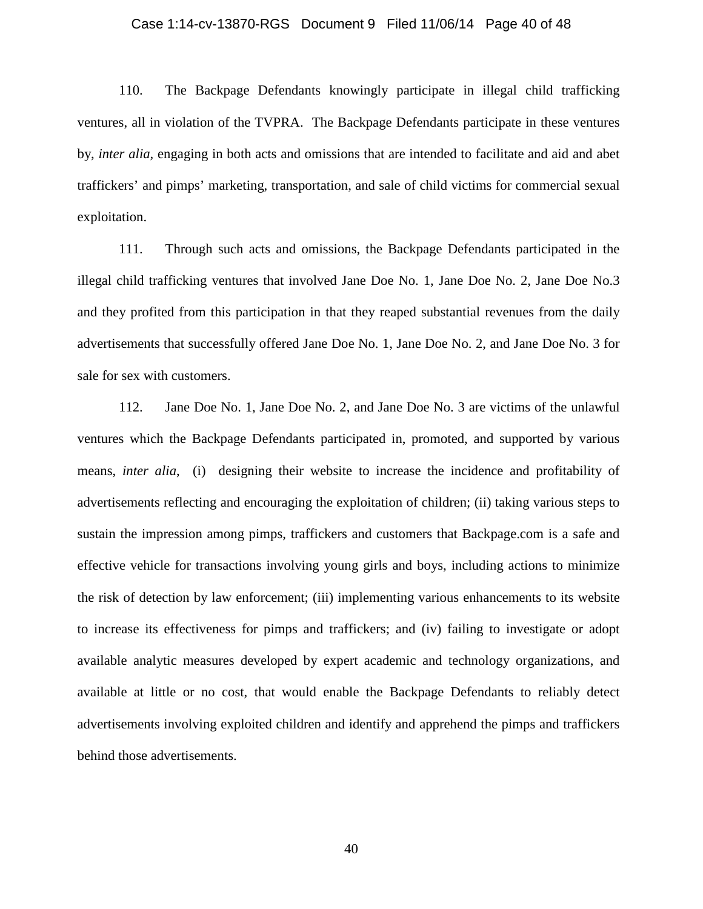### Case 1:14-cv-13870-RGS Document 9 Filed 11/06/14 Page 40 of 48

110. The Backpage Defendants knowingly participate in illegal child trafficking ventures, all in violation of the TVPRA. The Backpage Defendants participate in these ventures by, *inter alia*, engaging in both acts and omissions that are intended to facilitate and aid and abet traffickers' and pimps' marketing, transportation, and sale of child victims for commercial sexual exploitation.

111. Through such acts and omissions, the Backpage Defendants participated in the illegal child trafficking ventures that involved Jane Doe No. 1, Jane Doe No. 2, Jane Doe No.3 and they profited from this participation in that they reaped substantial revenues from the daily advertisements that successfully offered Jane Doe No. 1, Jane Doe No. 2, and Jane Doe No. 3 for sale for sex with customers.

112. Jane Doe No. 1, Jane Doe No. 2, and Jane Doe No. 3 are victims of the unlawful ventures which the Backpage Defendants participated in, promoted, and supported by various means, *inter alia*, (i) designing their website to increase the incidence and profitability of advertisements reflecting and encouraging the exploitation of children; (ii) taking various steps to sustain the impression among pimps, traffickers and customers that Backpage.com is a safe and effective vehicle for transactions involving young girls and boys, including actions to minimize the risk of detection by law enforcement; (iii) implementing various enhancements to its website to increase its effectiveness for pimps and traffickers; and (iv) failing to investigate or adopt available analytic measures developed by expert academic and technology organizations, and available at little or no cost, that would enable the Backpage Defendants to reliably detect advertisements involving exploited children and identify and apprehend the pimps and traffickers behind those advertisements.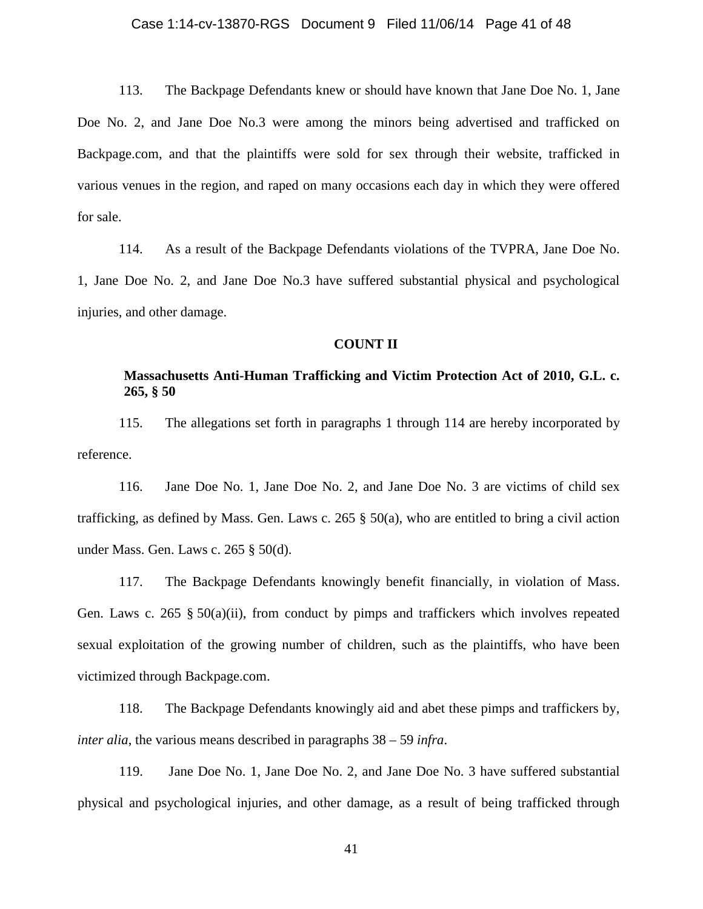### Case 1:14-cv-13870-RGS Document 9 Filed 11/06/14 Page 41 of 48

113. The Backpage Defendants knew or should have known that Jane Doe No. 1, Jane Doe No. 2, and Jane Doe No.3 were among the minors being advertised and trafficked on Backpage.com, and that the plaintiffs were sold for sex through their website, trafficked in various venues in the region, and raped on many occasions each day in which they were offered for sale.

114. As a result of the Backpage Defendants violations of the TVPRA, Jane Doe No. 1, Jane Doe No. 2, and Jane Doe No.3 have suffered substantial physical and psychological injuries, and other damage.

#### **COUNT II**

## **Massachusetts Anti-Human Trafficking and Victim Protection Act of 2010, G.L. c. 265, § 50**

115. The allegations set forth in paragraphs 1 through 114 are hereby incorporated by reference.

116. Jane Doe No. 1, Jane Doe No. 2, and Jane Doe No. 3 are victims of child sex trafficking, as defined by Mass. Gen. Laws c. 265  $\S$  50(a), who are entitled to bring a civil action under Mass. Gen. Laws c. 265 § 50(d).

117. The Backpage Defendants knowingly benefit financially, in violation of Mass. Gen. Laws c. 265 § 50(a)(ii), from conduct by pimps and traffickers which involves repeated sexual exploitation of the growing number of children, such as the plaintiffs, who have been victimized through Backpage.com.

118. The Backpage Defendants knowingly aid and abet these pimps and traffickers by, *inter alia*, the various means described in paragraphs 38 – 59 *infra*.

119. Jane Doe No. 1, Jane Doe No. 2, and Jane Doe No. 3 have suffered substantial physical and psychological injuries, and other damage, as a result of being trafficked through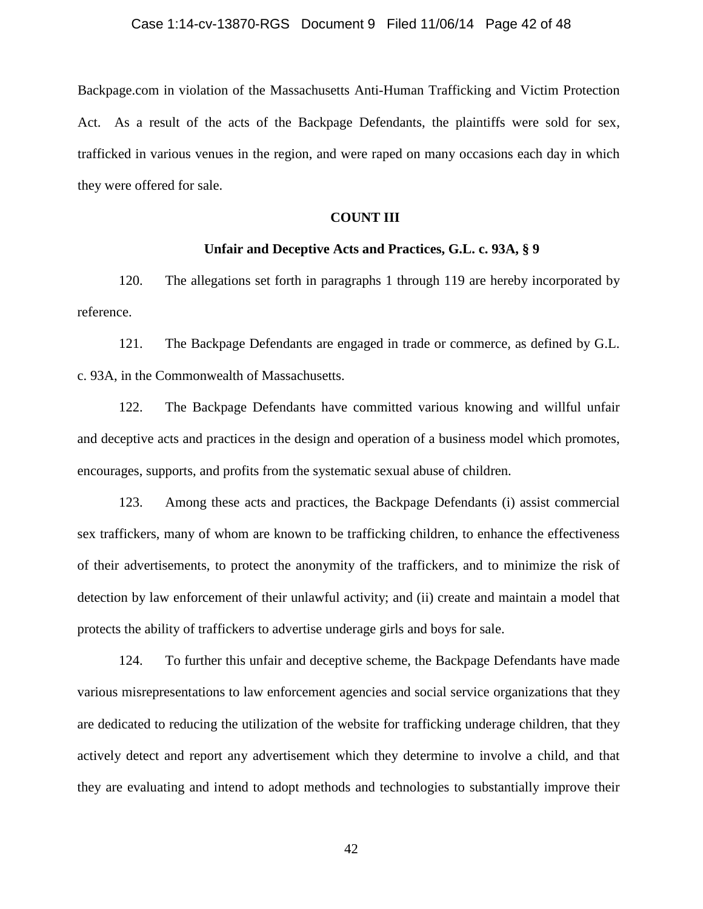#### Case 1:14-cv-13870-RGS Document 9 Filed 11/06/14 Page 42 of 48

Backpage.com in violation of the Massachusetts Anti-Human Trafficking and Victim Protection Act. As a result of the acts of the Backpage Defendants, the plaintiffs were sold for sex, trafficked in various venues in the region, and were raped on many occasions each day in which they were offered for sale.

### **COUNT III**

### **Unfair and Deceptive Acts and Practices, G.L. c. 93A, § 9**

120. The allegations set forth in paragraphs 1 through 119 are hereby incorporated by reference.

121. The Backpage Defendants are engaged in trade or commerce, as defined by G.L. c. 93A, in the Commonwealth of Massachusetts.

122. The Backpage Defendants have committed various knowing and willful unfair and deceptive acts and practices in the design and operation of a business model which promotes, encourages, supports, and profits from the systematic sexual abuse of children.

123. Among these acts and practices, the Backpage Defendants (i) assist commercial sex traffickers, many of whom are known to be trafficking children, to enhance the effectiveness of their advertisements, to protect the anonymity of the traffickers, and to minimize the risk of detection by law enforcement of their unlawful activity; and (ii) create and maintain a model that protects the ability of traffickers to advertise underage girls and boys for sale.

124. To further this unfair and deceptive scheme, the Backpage Defendants have made various misrepresentations to law enforcement agencies and social service organizations that they are dedicated to reducing the utilization of the website for trafficking underage children, that they actively detect and report any advertisement which they determine to involve a child, and that they are evaluating and intend to adopt methods and technologies to substantially improve their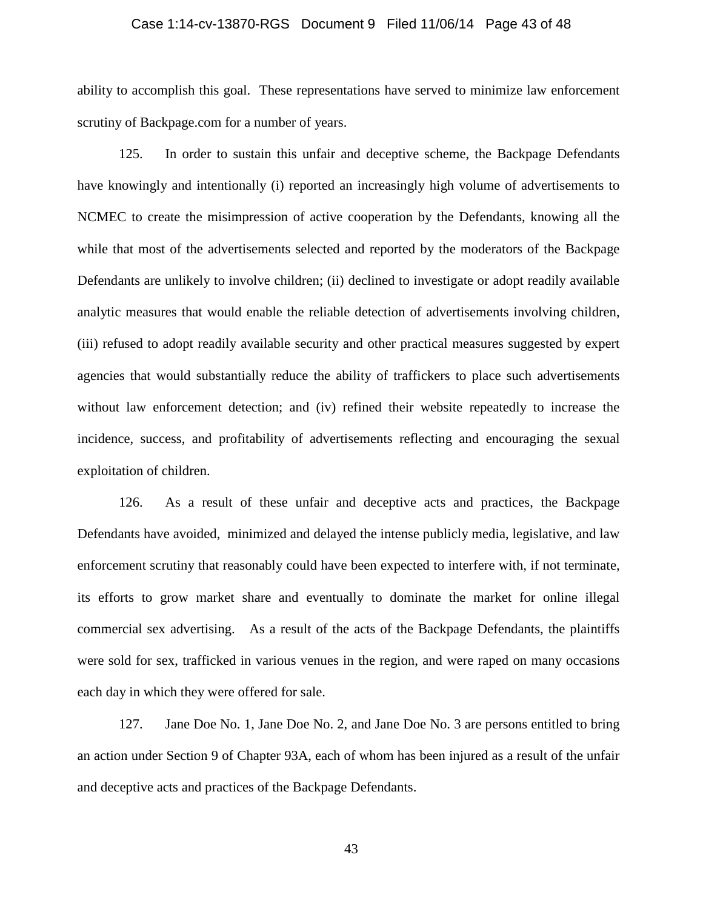### Case 1:14-cv-13870-RGS Document 9 Filed 11/06/14 Page 43 of 48

ability to accomplish this goal. These representations have served to minimize law enforcement scrutiny of Backpage.com for a number of years.

125. In order to sustain this unfair and deceptive scheme, the Backpage Defendants have knowingly and intentionally (i) reported an increasingly high volume of advertisements to NCMEC to create the misimpression of active cooperation by the Defendants, knowing all the while that most of the advertisements selected and reported by the moderators of the Backpage Defendants are unlikely to involve children; (ii) declined to investigate or adopt readily available analytic measures that would enable the reliable detection of advertisements involving children, (iii) refused to adopt readily available security and other practical measures suggested by expert agencies that would substantially reduce the ability of traffickers to place such advertisements without law enforcement detection; and (iv) refined their website repeatedly to increase the incidence, success, and profitability of advertisements reflecting and encouraging the sexual exploitation of children.

126. As a result of these unfair and deceptive acts and practices, the Backpage Defendants have avoided, minimized and delayed the intense publicly media, legislative, and law enforcement scrutiny that reasonably could have been expected to interfere with, if not terminate, its efforts to grow market share and eventually to dominate the market for online illegal commercial sex advertising. As a result of the acts of the Backpage Defendants, the plaintiffs were sold for sex, trafficked in various venues in the region, and were raped on many occasions each day in which they were offered for sale.

127. Jane Doe No. 1, Jane Doe No. 2, and Jane Doe No. 3 are persons entitled to bring an action under Section 9 of Chapter 93A, each of whom has been injured as a result of the unfair and deceptive acts and practices of the Backpage Defendants.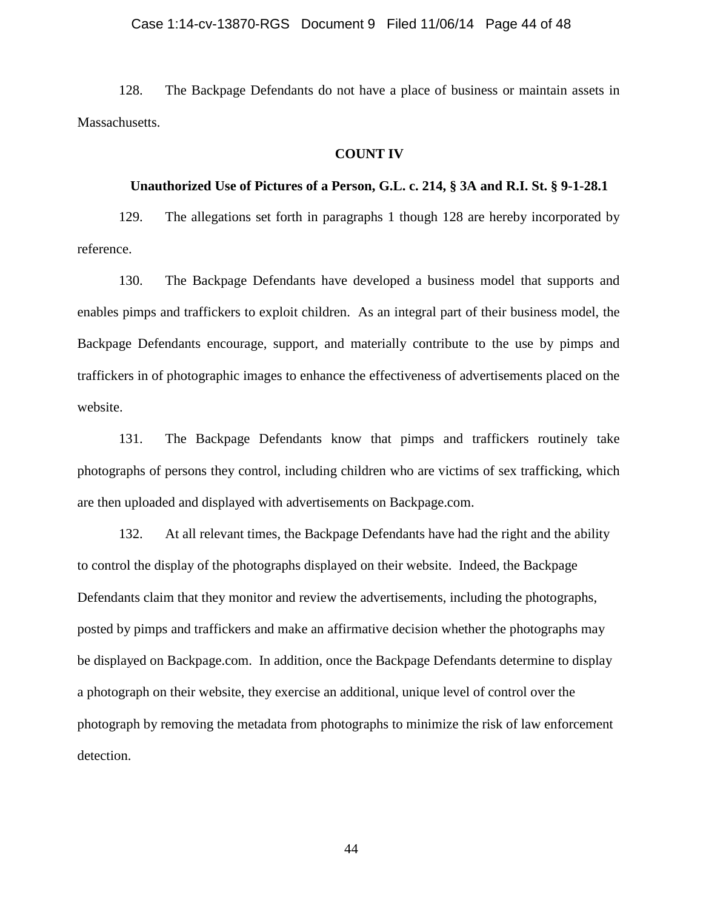### Case 1:14-cv-13870-RGS Document 9 Filed 11/06/14 Page 44 of 48

128. The Backpage Defendants do not have a place of business or maintain assets in Massachusetts.

### **COUNT IV**

### **Unauthorized Use of Pictures of a Person, G.L. c. 214, § 3A and R.I. St. § 9-1-28.1**

129. The allegations set forth in paragraphs 1 though 128 are hereby incorporated by reference.

130. The Backpage Defendants have developed a business model that supports and enables pimps and traffickers to exploit children. As an integral part of their business model, the Backpage Defendants encourage, support, and materially contribute to the use by pimps and traffickers in of photographic images to enhance the effectiveness of advertisements placed on the website.

131. The Backpage Defendants know that pimps and traffickers routinely take photographs of persons they control, including children who are victims of sex trafficking, which are then uploaded and displayed with advertisements on Backpage.com.

132. At all relevant times, the Backpage Defendants have had the right and the ability to control the display of the photographs displayed on their website. Indeed, the Backpage Defendants claim that they monitor and review the advertisements, including the photographs, posted by pimps and traffickers and make an affirmative decision whether the photographs may be displayed on Backpage.com. In addition, once the Backpage Defendants determine to display a photograph on their website, they exercise an additional, unique level of control over the photograph by removing the metadata from photographs to minimize the risk of law enforcement detection.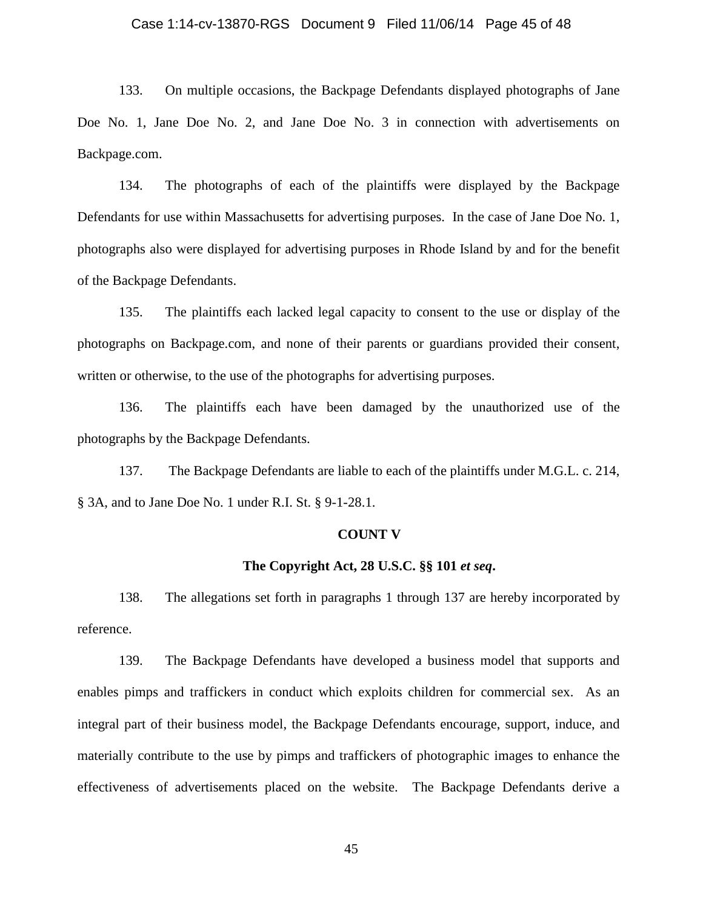#### Case 1:14-cv-13870-RGS Document 9 Filed 11/06/14 Page 45 of 48

133. On multiple occasions, the Backpage Defendants displayed photographs of Jane Doe No. 1, Jane Doe No. 2, and Jane Doe No. 3 in connection with advertisements on Backpage.com.

134. The photographs of each of the plaintiffs were displayed by the Backpage Defendants for use within Massachusetts for advertising purposes. In the case of Jane Doe No. 1, photographs also were displayed for advertising purposes in Rhode Island by and for the benefit of the Backpage Defendants.

135. The plaintiffs each lacked legal capacity to consent to the use or display of the photographs on Backpage.com, and none of their parents or guardians provided their consent, written or otherwise, to the use of the photographs for advertising purposes.

136. The plaintiffs each have been damaged by the unauthorized use of the photographs by the Backpage Defendants.

137. The Backpage Defendants are liable to each of the plaintiffs under M.G.L. c. 214, § 3A, and to Jane Doe No. 1 under R.I. St. § 9-1-28.1.

#### **COUNT V**

### **The Copyright Act, 28 U.S.C. §§ 101** *et seq***.**

138. The allegations set forth in paragraphs 1 through 137 are hereby incorporated by reference.

139. The Backpage Defendants have developed a business model that supports and enables pimps and traffickers in conduct which exploits children for commercial sex. As an integral part of their business model, the Backpage Defendants encourage, support, induce, and materially contribute to the use by pimps and traffickers of photographic images to enhance the effectiveness of advertisements placed on the website. The Backpage Defendants derive a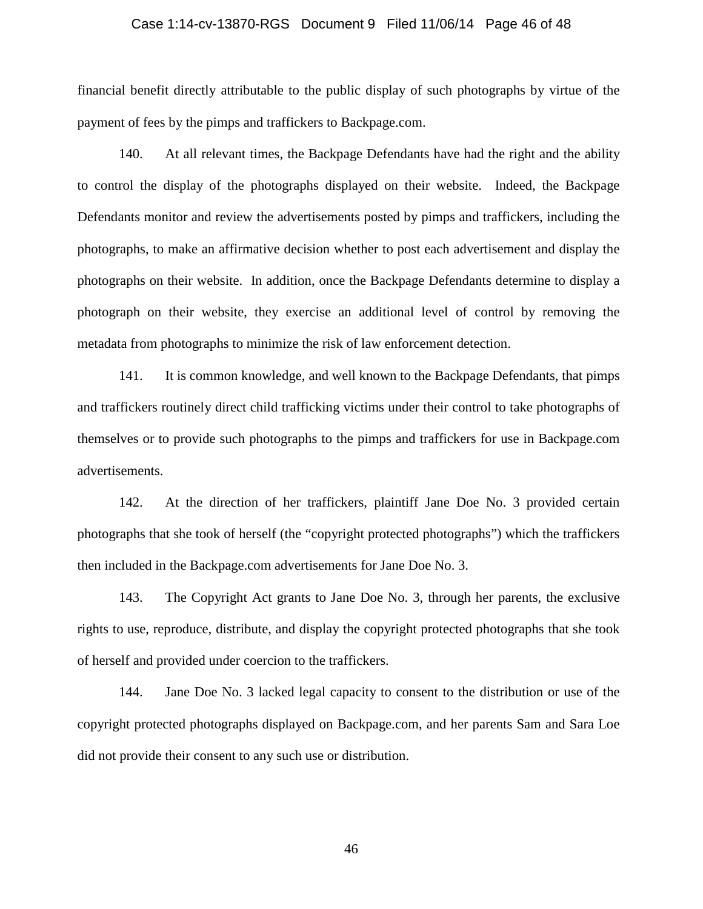### Case 1:14-cv-13870-RGS Document 9 Filed 11/06/14 Page 46 of 48

financial benefit directly attributable to the public display of such photographs by virtue of the payment of fees by the pimps and traffickers to Backpage.com.

140. At all relevant times, the Backpage Defendants have had the right and the ability to control the display of the photographs displayed on their website. Indeed, the Backpage Defendants monitor and review the advertisements posted by pimps and traffickers, including the photographs, to make an affirmative decision whether to post each advertisement and display the photographs on their website. In addition, once the Backpage Defendants determine to display a photograph on their website, they exercise an additional level of control by removing the metadata from photographs to minimize the risk of law enforcement detection.

141. It is common knowledge, and well known to the Backpage Defendants, that pimps and traffickers routinely direct child trafficking victims under their control to take photographs of themselves or to provide such photographs to the pimps and traffickers for use in Backpage.com advertisements.

142. At the direction of her traffickers, plaintiff Jane Doe No. 3 provided certain photographs that she took of herself (the "copyright protected photographs") which the traffickers then included in the Backpage.com advertisements for Jane Doe No. 3.

143. The Copyright Act grants to Jane Doe No. 3, through her parents, the exclusive rights to use, reproduce, distribute, and display the copyright protected photographs that she took of herself and provided under coercion to the traffickers.

144. Jane Doe No. 3 lacked legal capacity to consent to the distribution or use of the copyright protected photographs displayed on Backpage.com, and her parents Sam and Sara Loe did not provide their consent to any such use or distribution.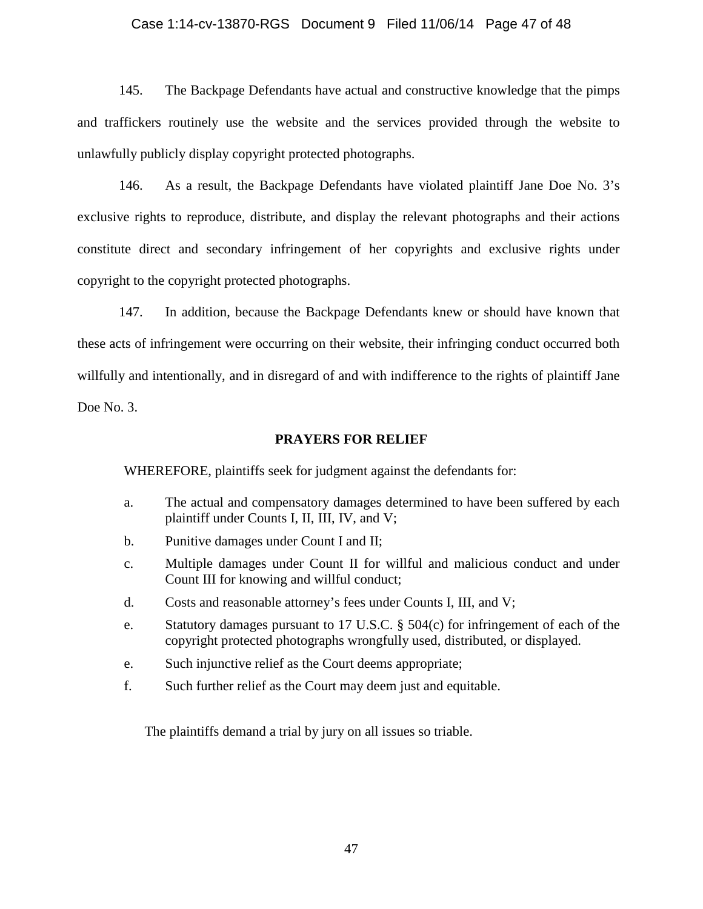### Case 1:14-cv-13870-RGS Document 9 Filed 11/06/14 Page 47 of 48

145. The Backpage Defendants have actual and constructive knowledge that the pimps and traffickers routinely use the website and the services provided through the website to unlawfully publicly display copyright protected photographs.

146. As a result, the Backpage Defendants have violated plaintiff Jane Doe No. 3's exclusive rights to reproduce, distribute, and display the relevant photographs and their actions constitute direct and secondary infringement of her copyrights and exclusive rights under copyright to the copyright protected photographs.

147. In addition, because the Backpage Defendants knew or should have known that these acts of infringement were occurring on their website, their infringing conduct occurred both willfully and intentionally, and in disregard of and with indifference to the rights of plaintiff Jane Doe No. 3.

**PRAYERS FOR RELIEF**

WHEREFORE, plaintiffs seek for judgment against the defendants for:

- a. The actual and compensatory damages determined to have been suffered by each plaintiff under Counts I, II, III, IV, and V;
- b. Punitive damages under Count I and II;
- c. Multiple damages under Count II for willful and malicious conduct and under Count III for knowing and willful conduct;
- d. Costs and reasonable attorney's fees under Counts I, III, and V;
- e. Statutory damages pursuant to 17 U.S.C. § 504(c) for infringement of each of the copyright protected photographs wrongfully used, distributed, or displayed.
- e. Such injunctive relief as the Court deems appropriate;
- f. Such further relief as the Court may deem just and equitable.

The plaintiffs demand a trial by jury on all issues so triable.